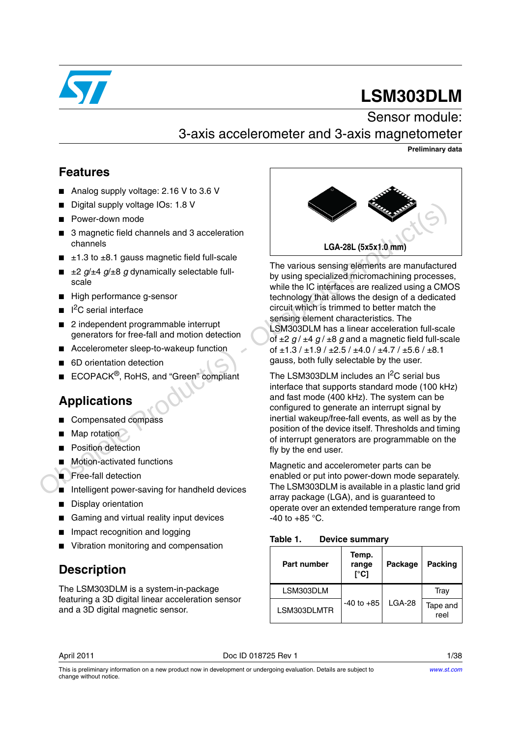

# **LSM303DLM**

# Sensor module: 3-axis accelerometer and 3-axis magnetometer

**Preliminary data**

# **Features**

- Analog supply voltage: 2.16 V to 3.6 V
- Digital supply voltage IOs: 1.8 V
- Power-down mode
- 3 magnetic field channels and 3 acceleration channels
- $\blacksquare$   $\pm$ 1.3 to  $\pm$ 8.1 gauss magnetic field full-scale
- $\equiv$   $\pm 2$  *g*/ $\pm 4$  *g*/ $\pm 8$  *g* dynamically selectable fullscale
- High performance g-sensor
- I<sup>2</sup>C serial interface
- 2 independent programmable interrupt generators for free-fall and motion detection
- Accelerometer sleep-to-wakeup function
- 6D orientation detection
- ECOPACK<sup>®</sup>, RoHS, and "Green" compliant

# **Applications**

- Compensated compass
- Map rotation
- **Position detection**
- Motion-activated functions
- **■** Free-fall detection
- Intelligent power-saving for handheld devices
- Display orientation
- Gaming and virtual reality input devices
- Impact recognition and logging
- Vibration monitoring and compensation

# **Description**

The LSM303DLM is a system-in-package featuring a 3D digital linear acceleration sensor and a 3D digital magnetic sensor.



The various sensing elements are manufactured by using specialized micromachining processes, while the IC interfaces are realized using a CMOS technology that allows the design of a dedicated circuit which is trimmed to better match the sensing element characteristics. The LSM303DLM has a linear acceleration full-scale of  $\pm 2$   $g / \pm 4$   $g / \pm 8$  g and a magnetic field full-scale of  $\pm$ 1.3 /  $\pm$ 1.9 /  $\pm$ 2.5 /  $\pm$ 4.0 /  $\pm$ 4.7 /  $\pm$ 5.6 /  $\pm$ 8.1 gauss*,* both fully selectable by the user. Digital supply voltage IOs: 1.8 V<br> **Example the control of the action**<br>
of any ample to the channels and 3 acceleration<br>  $\pm 1.3$  to +B.1 gauss magnetic field full-scale<br>  $\pm 2$  g/ $\pm 4$  g/+B g dynamically selectable fu

The LSM303DLM includes an  $I^2C$  serial bus interface that supports standard mode (100 kHz) and fast mode (400 kHz). The system can be configured to generate an interrupt signal by inertial wakeup/free-fall events, as well as by the position of the device itself. Thresholds and timing of interrupt generators are programmable on the fly by the end user.

Magnetic and accelerometer parts can be enabled or put into power-down mode separately. The LSM303DLM is available in a plastic land grid array package (LGA), and is guaranteed to operate over an extended temperature range from  $-40$  to  $+85$  °C.

<span id="page-0-0"></span>

| Table 1.<br><b>Device summary</b> |
|-----------------------------------|
|-----------------------------------|

| <b>Part number</b> | Temp.<br>range<br>r°C1 | Package  | Packing          |
|--------------------|------------------------|----------|------------------|
| LSM303DLM          |                        |          | Tray             |
| LSM303DLMTR        | $-40$ to $+85$         | $LGA-28$ | Tape and<br>reel |

April 2011 **Doc ID 018725 Rev 1** 2011 **Doc 10 018725 Rev 1**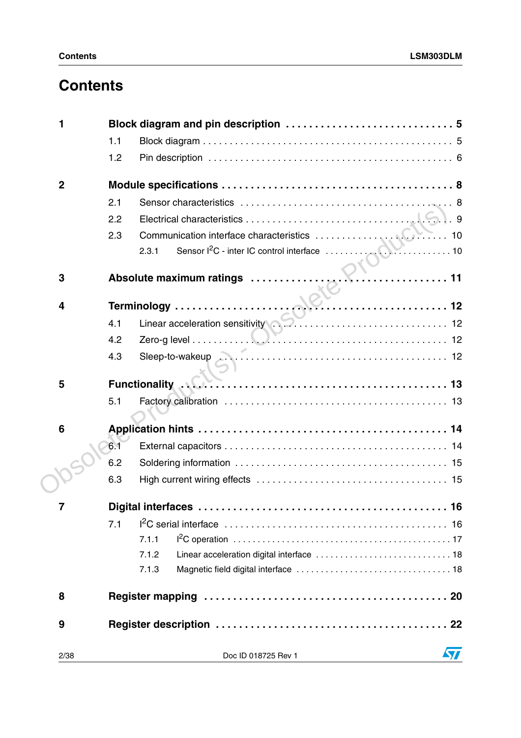# **Contents**

| 1               |     |       |                                                     |    |
|-----------------|-----|-------|-----------------------------------------------------|----|
|                 | 1.1 |       |                                                     |    |
|                 | 1.2 |       |                                                     |    |
| $\mathbf{2}$    |     |       |                                                     |    |
|                 | 2.1 |       |                                                     |    |
|                 | 2.2 |       |                                                     |    |
|                 | 2.3 |       |                                                     |    |
|                 |     | 2.3.1 |                                                     |    |
| 3               |     |       |                                                     |    |
| 4               |     |       |                                                     |    |
|                 | 4.1 |       | Linear acceleration sensitivity <b>Community 12</b> |    |
|                 | 4.2 |       |                                                     |    |
|                 | 4.3 |       |                                                     |    |
| 5               |     |       |                                                     |    |
|                 | 5.1 |       |                                                     |    |
| $6\phantom{1}6$ |     |       |                                                     |    |
|                 | 6.1 |       |                                                     |    |
|                 | 6.2 |       |                                                     |    |
|                 | 6.3 |       |                                                     |    |
|                 |     |       |                                                     |    |
|                 | 7.1 |       |                                                     |    |
|                 |     | 7.1.1 |                                                     |    |
|                 |     | 7.1.2 |                                                     |    |
|                 |     | 7.1.3 |                                                     |    |
| 8               |     |       |                                                     |    |
| 9               |     |       |                                                     |    |
| 2/38            |     |       | Doc ID 018725 Rev 1                                 | 57 |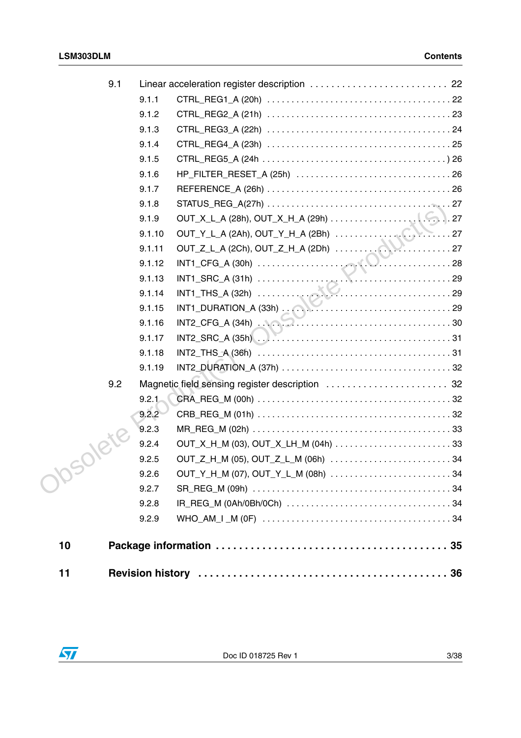| 9.1 |        | Linear acceleration register description  22                                                           |  |
|-----|--------|--------------------------------------------------------------------------------------------------------|--|
|     | 9.1.1  |                                                                                                        |  |
|     | 9.1.2  |                                                                                                        |  |
|     | 9.1.3  |                                                                                                        |  |
|     | 9.1.4  |                                                                                                        |  |
|     | 9.1.5  |                                                                                                        |  |
|     | 9.1.6  |                                                                                                        |  |
|     | 9.1.7  |                                                                                                        |  |
|     | 9.1.8  |                                                                                                        |  |
|     | 9.1.9  |                                                                                                        |  |
|     | 9.1.10 | OUT_Y_L_A (2Ah), OUT_Y_H_A (2Bh)<br>OUT_Z_L_A (2Ch), OUT_Z_H_A (2Dh)                                   |  |
|     | 9.1.11 |                                                                                                        |  |
|     | 9.1.12 |                                                                                                        |  |
|     | 9.1.13 |                                                                                                        |  |
|     | 9.1.14 | INT1_THS_A (32h)<br>INT1_DURATION_A (33h)<br>29                                                        |  |
|     | 9.1.15 |                                                                                                        |  |
|     | 9.1.16 | $INT2_CFG_A (34h)$ $\ldots$ $\ldots$ $\ldots$ $\ldots$ $\ldots$ $\ldots$ $\ldots$ $\ldots$ $\ldots$ 30 |  |
|     | 9.1.17 |                                                                                                        |  |
|     | 9.1.18 |                                                                                                        |  |
|     | 9.1.19 |                                                                                                        |  |
| 9.2 |        | Magnetic field sensing register description  32                                                        |  |
|     | 9.2.1  |                                                                                                        |  |
|     | 9.2.2  |                                                                                                        |  |
|     | 9.2.3  |                                                                                                        |  |
|     | 9.2.4  |                                                                                                        |  |
|     | 9.2.5  | OUT_Z_H_M (05), OUT_Z_L_M (06h) 34                                                                     |  |
|     | 9.2.6  | OUT_Y_H_M (07), OUT_Y_L_M (08h)  34                                                                    |  |
|     | 9.2.7  |                                                                                                        |  |
|     | 9.2.8  |                                                                                                        |  |
|     | 9.2.9  |                                                                                                        |  |
| 10  |        |                                                                                                        |  |
| 11  |        |                                                                                                        |  |
|     |        |                                                                                                        |  |

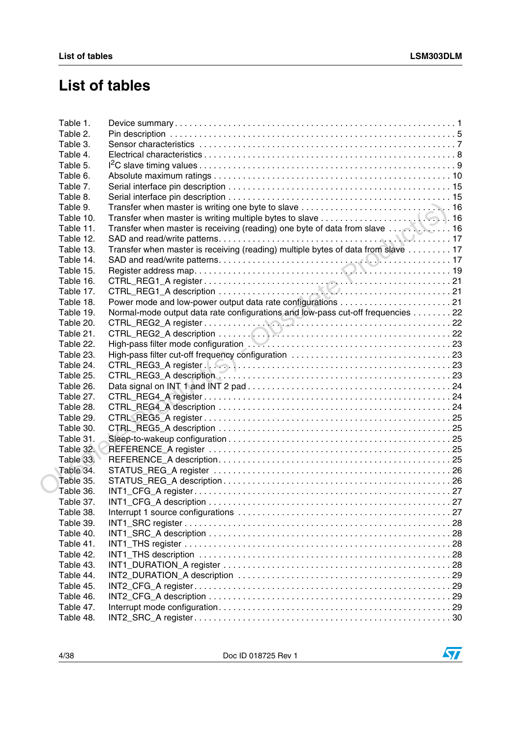# **List of tables**

| Table 1.  |                                                                                  |  |
|-----------|----------------------------------------------------------------------------------|--|
| Table 2.  |                                                                                  |  |
| Table 3.  |                                                                                  |  |
| Table 4.  |                                                                                  |  |
| Table 5.  |                                                                                  |  |
| Table 6.  |                                                                                  |  |
| Table 7.  |                                                                                  |  |
| Table 8.  |                                                                                  |  |
| Table 9.  |                                                                                  |  |
| Table 10. |                                                                                  |  |
| Table 11. | Transfer when master is receiving (reading) one byte of data from slave 16       |  |
| Table 12. |                                                                                  |  |
| Table 13. | Transfer when master is receiving (reading) multiple bytes of data from slave 17 |  |
| Table 14. |                                                                                  |  |
| Table 15. |                                                                                  |  |
| Table 16. |                                                                                  |  |
| Table 17. |                                                                                  |  |
| Table 18. |                                                                                  |  |
| Table 19. | Normal-mode output data rate configurations and low-pass cut-off frequencies 22  |  |
| Table 20. |                                                                                  |  |
| Table 21. |                                                                                  |  |
| Table 22. |                                                                                  |  |
| Table 23. |                                                                                  |  |
| Table 24. |                                                                                  |  |
| Table 25. |                                                                                  |  |
| Table 26. |                                                                                  |  |
| Table 27. |                                                                                  |  |
| Table 28. |                                                                                  |  |
| Table 29. |                                                                                  |  |
| Table 30. |                                                                                  |  |
|           |                                                                                  |  |
| Table 31. |                                                                                  |  |
| Table 32. |                                                                                  |  |
| Table 33. |                                                                                  |  |
| Table 34. |                                                                                  |  |
| Table 35. |                                                                                  |  |
| Table 36. |                                                                                  |  |
| Table 37. |                                                                                  |  |
| Table 38. |                                                                                  |  |
| Table 39. |                                                                                  |  |
| Table 40. |                                                                                  |  |
| Table 41. |                                                                                  |  |
| Table 42. |                                                                                  |  |
| Table 43. |                                                                                  |  |
| Table 44. |                                                                                  |  |
| Table 45. |                                                                                  |  |
| Table 46. |                                                                                  |  |
| Table 47. |                                                                                  |  |
| Table 48. |                                                                                  |  |

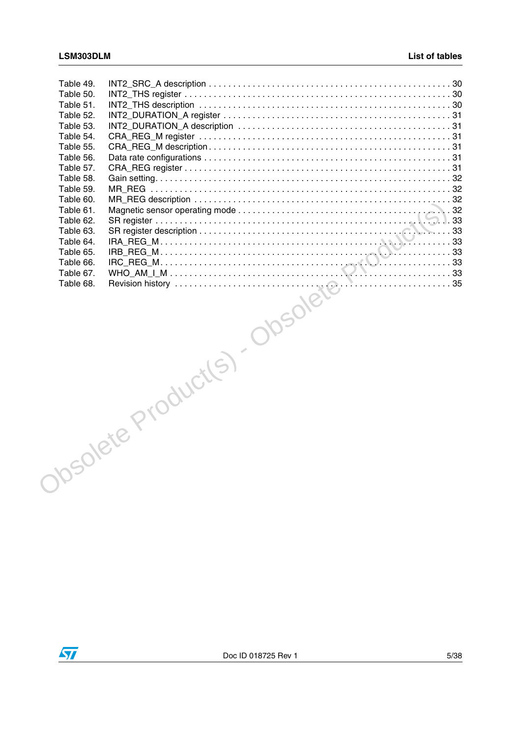| Table 49. |                                |  |
|-----------|--------------------------------|--|
| Table 50. |                                |  |
| Table 51. |                                |  |
| Table 52. |                                |  |
| Table 53. |                                |  |
| Table 54. |                                |  |
|           |                                |  |
|           |                                |  |
|           |                                |  |
|           |                                |  |
|           |                                |  |
|           |                                |  |
|           |                                |  |
|           |                                |  |
|           |                                |  |
|           |                                |  |
|           |                                |  |
|           |                                |  |
|           |                                |  |
|           |                                |  |
|           |                                |  |
|           |                                |  |
|           |                                |  |
|           |                                |  |
|           |                                |  |
|           |                                |  |
|           |                                |  |
|           |                                |  |
|           |                                |  |
|           |                                |  |
|           |                                |  |
|           |                                |  |
|           |                                |  |
|           |                                |  |
|           |                                |  |
|           |                                |  |
|           |                                |  |
|           |                                |  |
|           | NEWSLAVER Product(S) - 0050/86 |  |
|           |                                |  |
|           |                                |  |

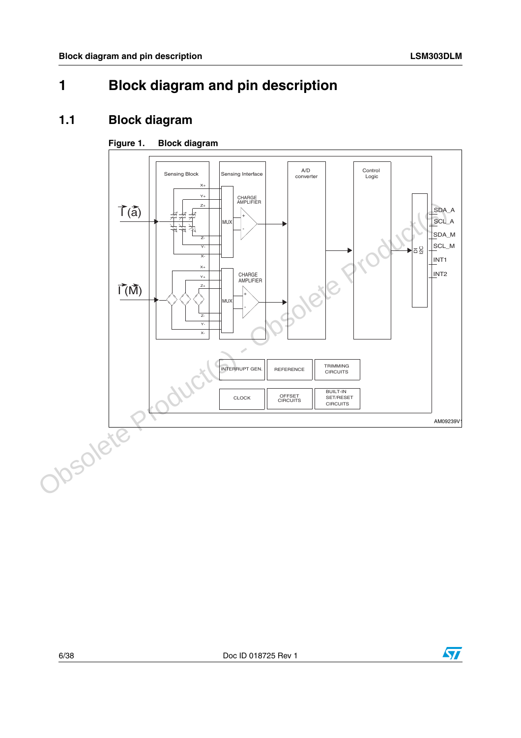# <span id="page-5-0"></span>**1 Block diagram and pin description**

# <span id="page-5-1"></span>**1.1 Block diagram**

### **Figure 1. Block diagram**





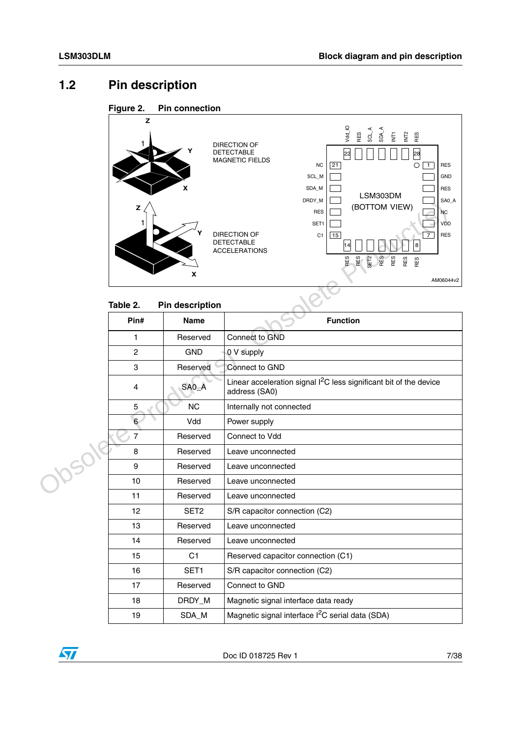# <span id="page-6-0"></span>**1.2 Pin description**





#### <span id="page-6-1"></span>**Table 2. Pin description**

|      | z                       | X                      | יו ו שרוש<br>ה טהט<br>(BOTTOM VIEW)<br><b>RES</b><br><b>NC</b><br>SET1<br>VDD<br><b>DIRECTION OF</b><br>$\overline{7}$<br><b>RES</b><br>C1<br>15<br><b>DETECTABLE</b><br>$\bf8$<br><b>ACCELERATIONS</b><br>RES<br>RES<br>RES<br>RES<br>SET <sub>2</sub><br>RES<br>RES<br>AM06044v2 |
|------|-------------------------|------------------------|------------------------------------------------------------------------------------------------------------------------------------------------------------------------------------------------------------------------------------------------------------------------------------|
|      | Table 2.                | <b>Pin description</b> |                                                                                                                                                                                                                                                                                    |
|      | Pin#                    | <b>Name</b>            | <b>Function</b>                                                                                                                                                                                                                                                                    |
|      | 1                       | Reserved               | Connect to GND                                                                                                                                                                                                                                                                     |
|      | $\mathbf{2}$            | <b>GND</b>             | 0 V supply                                                                                                                                                                                                                                                                         |
|      | 3                       | Reserved               | Connect to GND                                                                                                                                                                                                                                                                     |
|      | $\overline{\mathbf{4}}$ | SAO_A                  | Linear acceleration signal $12C$ less significant bit of the device<br>address (SA0)                                                                                                                                                                                               |
|      | 5                       | <b>NC</b>              | Internally not connected                                                                                                                                                                                                                                                           |
|      | 6 <sup>6</sup>          | Vdd                    | Power supply                                                                                                                                                                                                                                                                       |
|      | $\overline{7}$          | Reserved               | Connect to Vdd                                                                                                                                                                                                                                                                     |
| 1050 | 8                       | Reserved               | Leave unconnected                                                                                                                                                                                                                                                                  |
|      | 9                       | Reserved               | Leave unconnected                                                                                                                                                                                                                                                                  |
|      | 10                      | Reserved               | Leave unconnected                                                                                                                                                                                                                                                                  |
|      | 11                      | Reserved               | Leave unconnected                                                                                                                                                                                                                                                                  |
|      | 12                      | SET <sub>2</sub>       | S/R capacitor connection (C2)                                                                                                                                                                                                                                                      |
|      | 13                      | Reserved               | Leave unconnected                                                                                                                                                                                                                                                                  |
|      | 14                      | Reserved               | Leave unconnected                                                                                                                                                                                                                                                                  |
|      | 15                      | C <sub>1</sub>         | Reserved capacitor connection (C1)                                                                                                                                                                                                                                                 |
|      | 16                      | SET1                   | S/R capacitor connection (C2)                                                                                                                                                                                                                                                      |
|      | 17                      | Reserved               | Connect to GND                                                                                                                                                                                                                                                                     |
|      | 18                      | DRDY_M                 | Magnetic signal interface data ready                                                                                                                                                                                                                                               |
|      | 19                      | SDA_M                  | Magnetic signal interface l <sup>2</sup> C serial data (SDA)                                                                                                                                                                                                                       |

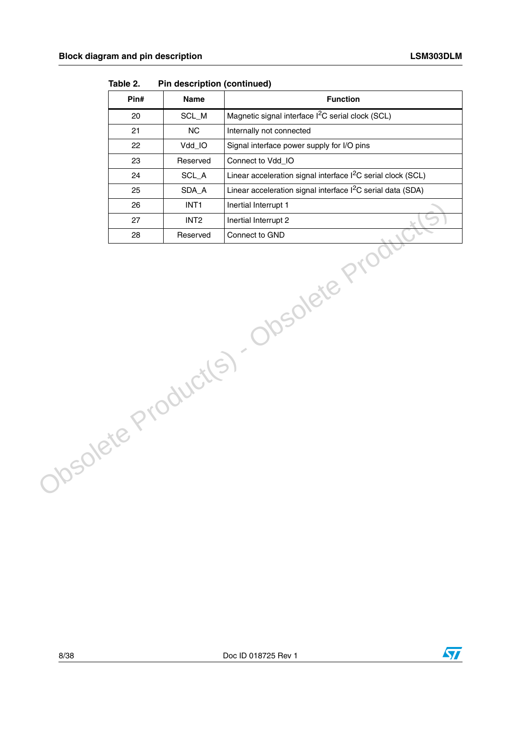| Pin# | <b>Name</b>      | <b>Function</b>                                                          |
|------|------------------|--------------------------------------------------------------------------|
| 20   | SCL_M            | Magnetic signal interface I <sup>2</sup> C serial clock (SCL)            |
| 21   | <b>NC</b>        | Internally not connected                                                 |
| 22   | Vdd_IO           | Signal interface power supply for I/O pins                               |
| 23   | Reserved         | Connect to Vdd_IO                                                        |
| 24   | SCL_A            | Linear acceleration signal interface I <sup>2</sup> C serial clock (SCL) |
| 25   | SDA_A            | Linear acceleration signal interface I <sup>2</sup> C serial data (SDA)  |
| 26   | INT <sub>1</sub> | Inertial Interrupt 1                                                     |
| 27   | INT <sub>2</sub> | Inertial Interrupt 2                                                     |
| 28   | Reserved         | Connect to GND                                                           |
|      |                  | Obsolete Product(s) - Obsolete Prod                                      |

**Table 2. Pin description (continued)**



 $\sqrt{2}$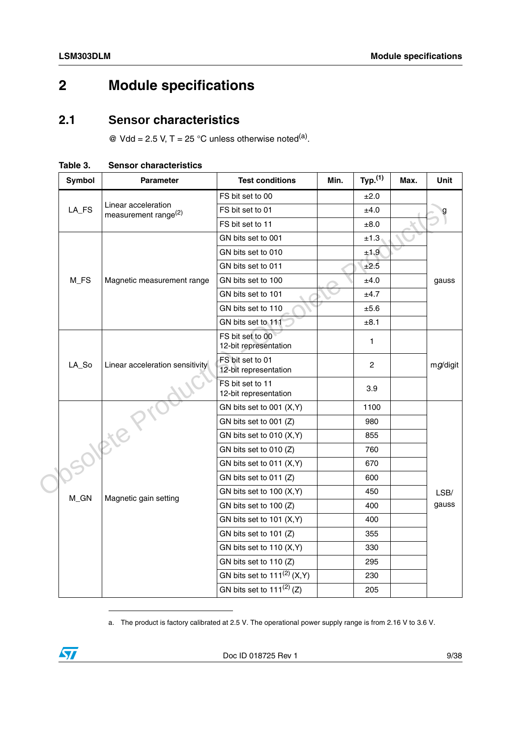# <span id="page-8-0"></span>**2 Module specifications**

# <span id="page-8-1"></span>**2.1 Sensor characteristics**

 $\textcircled{e}$  Vdd = 2.5 V, T = 25 °C unless otherwise noted<sup>(a)</sup>.

|  | <b>Symbol</b> | <b>Parameter</b>                               | <b>Test conditions</b>                    | Min. | Typ. <sup>(1)</sup> | Max. | Unit     |
|--|---------------|------------------------------------------------|-------------------------------------------|------|---------------------|------|----------|
|  |               |                                                | FS bit set to 00                          |      | ±2.0                |      |          |
|  | LA_FS         | Linear acceleration<br>measurement range $(2)$ | FS bit set to 01                          |      | ±4.0                |      |          |
|  |               |                                                | FS bit set to 11                          |      | $\pm 8.0$           |      |          |
|  |               |                                                | GN bits set to 001                        |      | ±1.3                |      |          |
|  |               |                                                | GN bits set to 010                        |      | ±1.9                |      |          |
|  |               |                                                | GN bits set to 011                        |      | ±2.5                |      |          |
|  | M_FS          | Magnetic measurement range                     | GN bits set to 100                        |      | ±4.0                |      | gauss    |
|  |               |                                                | GN bits set to 101                        |      | ±4.7                |      |          |
|  |               |                                                | GN bits set to 110                        |      | ±5.6                |      |          |
|  |               |                                                | GN bits set to 111                        |      | ±8.1                |      |          |
|  |               |                                                | FS bit set to 00<br>12-bit representation |      | $\mathbf{1}$        |      |          |
|  | LA_So         | Linear acceleration sensitivity                | FS bit set to 01<br>12-bit representation |      | $\overline{2}$      |      | mg/digit |
|  |               |                                                | FS bit set to 11<br>12-bit representation |      | 3.9                 |      |          |
|  |               |                                                | GN bits set to 001 (X,Y)                  |      | 1100                |      |          |
|  |               |                                                | GN bits set to 001 (Z)                    |      | 980                 |      |          |
|  |               |                                                | GN bits set to 010 (X,Y)                  |      | 855                 |      |          |
|  | contere       |                                                | GN bits set to 010 (Z)                    |      | 760                 |      |          |
|  |               |                                                | GN bits set to 011 (X,Y)                  |      | 670                 |      |          |
|  |               |                                                | GN bits set to 011 (Z)                    |      | 600                 |      |          |
|  | M_GN          | Magnetic gain setting                          | GN bits set to 100 (X,Y)                  |      | 450                 |      | LSB/     |
|  |               |                                                | GN bits set to 100 (Z)                    |      | 400                 |      | gauss    |
|  |               |                                                | GN bits set to 101 (X,Y)                  |      | 400                 |      |          |
|  |               |                                                | GN bits set to 101 (Z)                    |      | 355                 |      |          |
|  |               |                                                | GN bits set to 110 (X,Y)                  |      | 330                 |      |          |
|  |               |                                                | GN bits set to 110 (Z)                    |      | 295                 |      |          |
|  |               |                                                | GN bits set to $111^{(2)}$ (X, Y)         |      | 230                 |      |          |
|  |               |                                                | GN bits set to $111^{(2)}$ (Z)            |      | 205                 |      |          |

<span id="page-8-2"></span>**Table 3. Sensor characteristics**

a. The product is factory calibrated at 2.5 V. The operational power supply range is from 2.16 V to 3.6 V.

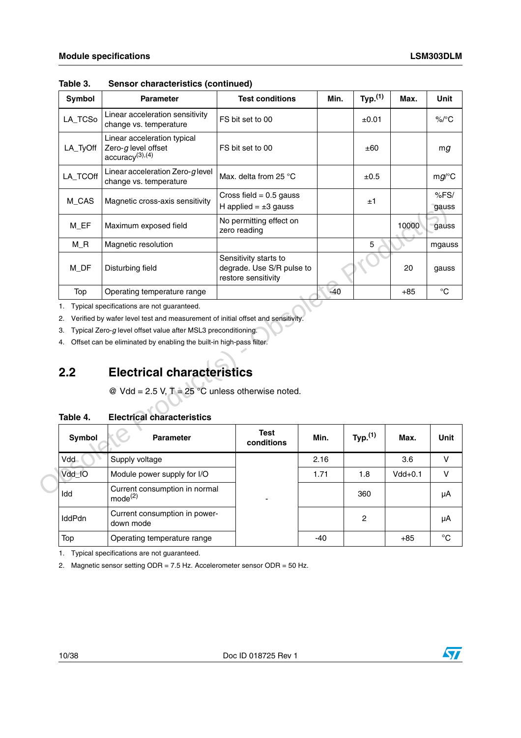| Symbol   | <b>Parameter</b>                                                             | <b>Test conditions</b>                                                    | Min.  | Typ. <sup>(1)</sup> | Max.  | Unit          |
|----------|------------------------------------------------------------------------------|---------------------------------------------------------------------------|-------|---------------------|-------|---------------|
| LA_TCSo  | Linear acceleration sensitivity<br>change vs. temperature                    | FS bit set to 00                                                          |       | ±0.01               |       | $\%$ /°C      |
| LA_TyOff | Linear acceleration typical<br>Zero-g level offset<br>$\arccuracy^{(3),(4)}$ | FS bit set to 00                                                          |       | ±60                 |       | mq            |
| LA_TCOff | Linear acceleration Zero-glevel<br>change vs. temperature                    | Max. delta from 25 $\degree$ C                                            |       | ±0.5                |       | $mg$ /°C      |
| M CAS    | Magnetic cross-axis sensitivity                                              | Cross field $= 0.5$ gauss<br>H applied $= \pm 3$ gauss                    |       | ±1                  |       | %FS/<br>gauss |
| M EF     | Maximum exposed field                                                        | No permitting effect on<br>zero reading                                   |       |                     | 10000 | gauss         |
| M_R      | Magnetic resolution                                                          |                                                                           |       | 5                   |       | mgauss        |
| M DF     | Disturbing field                                                             | Sensitivity starts to<br>degrade. Use S/R pulse to<br>restore sensitivity |       |                     | 20    | gauss         |
| Top      | Operating temperature range                                                  |                                                                           | $-40$ |                     | $+85$ | °C            |

**Table 3. Sensor characteristics (continued)**

# <span id="page-9-0"></span>**2.2 Electrical characteristics**

#### <span id="page-9-1"></span>**Table 4. Electrical characteristics**

| טוע_שו                    | Maynetic cross-axis serisitivity                                                        | H applied = $\pm 3$ gauss                                                 |       |                     |           | gauss        |
|---------------------------|-----------------------------------------------------------------------------------------|---------------------------------------------------------------------------|-------|---------------------|-----------|--------------|
| M_EF                      | Maximum exposed field                                                                   | No permitting effect on<br>zero reading                                   |       |                     | 10000     | gauss        |
| $M_R$                     | Magnetic resolution                                                                     |                                                                           |       | 5                   |           | mgauss       |
| M DF                      | Disturbing field                                                                        | Sensitivity starts to<br>degrade. Use S/R pulse to<br>restore sensitivity |       |                     | 20        | gauss        |
| Top                       | Operating temperature range                                                             |                                                                           | $-40$ |                     | $+85$     | $^{\circ}C$  |
| 1.                        | Typical specifications are not guaranteed.                                              |                                                                           |       |                     |           |              |
| 2.                        | Verified by wafer level test and measurement of initial offset and sensitivity.         |                                                                           |       |                     |           |              |
| З.                        | Typical Zero-g level offset value after MSL3 preconditioning.                           |                                                                           |       |                     |           |              |
| 4.                        | Offset can be eliminated by enabling the built-in high-pass filter.                     |                                                                           |       |                     |           |              |
| 2.2                       | <b>Electrical characteristics</b>                                                       |                                                                           |       |                     |           |              |
|                           | @ Vdd = 2.5 V, $T = 25$ °C unless otherwise noted.<br><b>Electrical characteristics</b> |                                                                           |       |                     |           |              |
| Table 4.<br><b>Symbol</b> | <b>Parameter</b>                                                                        | <b>Test</b><br>conditions                                                 | Min.  | Typ. <sup>(1)</sup> | Max.      | Unit         |
| Vdd                       | Supply voltage                                                                          |                                                                           | 2.16  |                     | 3.6       | V            |
| Vdd_IO                    | Module power supply for I/O                                                             |                                                                           | 1.71  | 1.8                 | $Vdd+0.1$ | $\mathsf{V}$ |
| Idd                       | Current consumption in normal<br>mode <sup>(2)</sup>                                    |                                                                           |       | 360                 |           | μA           |
| IddPdn                    | Current consumption in power-<br>down mode                                              |                                                                           |       | $\overline{c}$      |           | μA           |
| Top                       | Operating temperature range                                                             |                                                                           | $-40$ |                     | $+85$     | $^{\circ}C$  |

1. Typical specifications are not guaranteed.

2. Magnetic sensor setting ODR = 7.5 Hz. Accelerometer sensor ODR = 50 Hz.

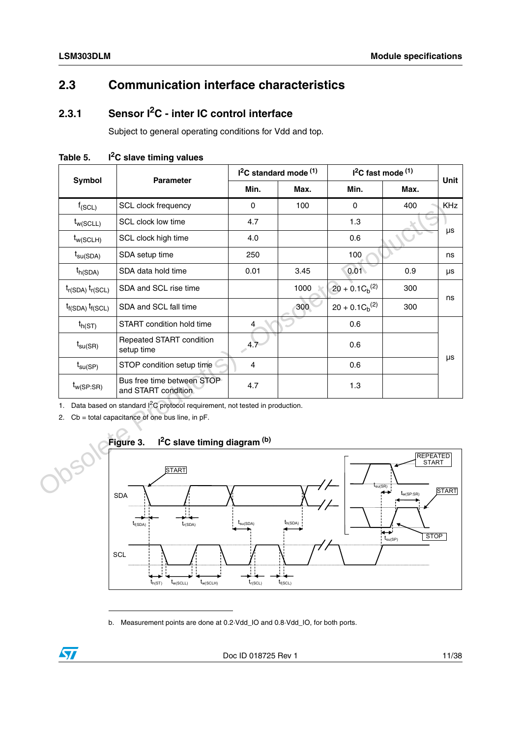# <span id="page-10-0"></span>**2.3 Communication interface characteristics**

# <span id="page-10-1"></span>**2.3.1 Sensor I2C - inter IC control interface**

Subject to general operating conditions for Vdd and top.

|          |                                                                                                                                                                                                                  |                                                   | I <sup>2</sup> C standard mode <sup>(1)</sup> |      | $I2C$ fast mode $(1)$ | Unit                                              |              |  |  |
|----------|------------------------------------------------------------------------------------------------------------------------------------------------------------------------------------------------------------------|---------------------------------------------------|-----------------------------------------------|------|-----------------------|---------------------------------------------------|--------------|--|--|
|          | <b>Symbol</b>                                                                                                                                                                                                    | <b>Parameter</b>                                  | Min.                                          | Max. | Min.                  | Max.                                              |              |  |  |
|          | $f_{(SCL)}$                                                                                                                                                                                                      | SCL clock frequency                               | $\mathbf 0$                                   | 100  | $\mathbf 0$           | 400                                               | <b>KHz</b>   |  |  |
|          | $t_{w(SCLL)}$                                                                                                                                                                                                    | SCL clock low time                                | 4.7                                           |      | 1.3                   |                                                   |              |  |  |
|          | $t_{w(SCLH)}$                                                                                                                                                                                                    | SCL clock high time                               | 4.0                                           |      | 0.6                   |                                                   | μs           |  |  |
|          | $t_{\text{su(SDA)}}$                                                                                                                                                                                             | SDA setup time                                    | 250                                           |      | 100                   |                                                   | ns           |  |  |
|          | $t_{h(SDA)}$                                                                                                                                                                                                     | SDA data hold time                                | 0.01                                          | 3.45 | 0.01                  | 0.9                                               | μs           |  |  |
|          | $t_{r(SDA)} t_{r(SCL)}$                                                                                                                                                                                          | SDA and SCL rise time                             |                                               | 1000 | $20 + 0.1 C_b^{(2)}$  | 300                                               |              |  |  |
|          | $t_{f(SDA)} t_{f(SCL)}$                                                                                                                                                                                          | SDA and SCL fall time                             |                                               | 300  | $20 + 0.1 C_h^{(2)}$  | 300                                               | ns           |  |  |
|          | $t_{h(ST)}$                                                                                                                                                                                                      | START condition hold time                         | 4                                             |      | 0.6                   |                                                   |              |  |  |
|          | $t_{\text{su(SR)}}$                                                                                                                                                                                              | Repeated START condition<br>setup time            | 4.7                                           |      | 0.6                   |                                                   |              |  |  |
|          | $t_{\text{su(SP)}}$                                                                                                                                                                                              | STOP condition setup time                         | $\overline{4}$                                |      | 0.6                   |                                                   | $\mu s$      |  |  |
|          | $t_{w(SP:SR)}$                                                                                                                                                                                                   | Bus free time between STOP<br>and START condition | 4.7                                           |      | 1.3                   |                                                   |              |  |  |
| 1.<br>2. | Data based on standard I <sup>2</sup> C protocol requirement, not tested in production.<br>$Cb = total capacitance of one bus line, in pF.$<br>I <sup>2</sup> C slave timing diagram <sup>(b)</sup><br>Figure 3. |                                                   |                                               |      |                       |                                                   |              |  |  |
|          |                                                                                                                                                                                                                  | <b>START</b><br><b>SDA</b>                        |                                               |      | $t_{\text{su(SR)}}$   | <b>REPEATED</b><br><b>START</b><br>$t_{w(SP:SR)}$ | <b>START</b> |  |  |

<span id="page-10-2"></span>Table 5. I<sup>2</sup>C slave timing values



b. Measurement points are done at 0.2·Vdd\_IO and 0.8·Vdd\_IO, for both ports.

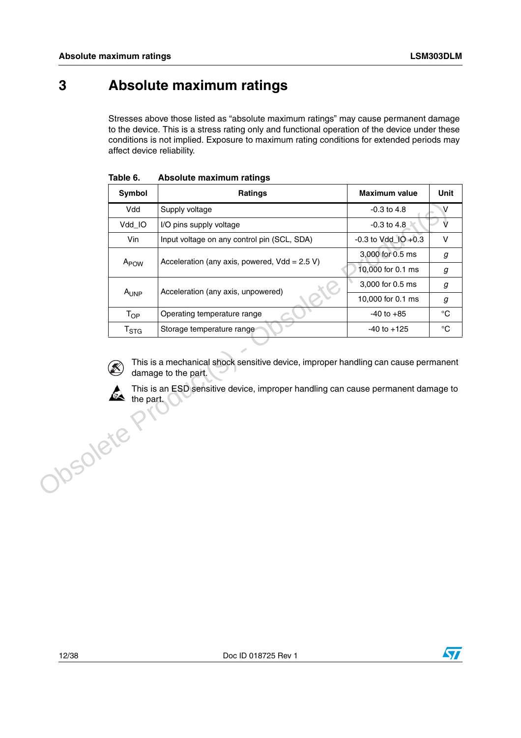# <span id="page-11-0"></span>**3 Absolute maximum ratings**

Stresses above those listed as "absolute maximum ratings" may cause permanent damage to the device. This is a stress rating only and functional operation of the device under these conditions is not implied. Exposure to maximum rating conditions for extended periods may affect device reliability.

|          | Symbol           | <b>Ratings</b>                                                                                                                                                                                | <b>Maximum value</b>    | Unit              |
|----------|------------------|-----------------------------------------------------------------------------------------------------------------------------------------------------------------------------------------------|-------------------------|-------------------|
|          | Vdd              | Supply voltage                                                                                                                                                                                | $-0.3$ to $4.8$         | V                 |
|          | Vdd_IO           | I/O pins supply voltage                                                                                                                                                                       | $-0.3$ to $4.8$         | $\vee$            |
|          | Vin              | Input voltage on any control pin (SCL, SDA)                                                                                                                                                   | $-0.3$ to Vdd_IO $+0.3$ | $\vee$            |
|          |                  | Acceleration (any axis, powered, $Vdd = 2.5 V$ )                                                                                                                                              | 3,000 for 0.5 ms        | $\boldsymbol{g}$  |
|          | A <sub>POW</sub> |                                                                                                                                                                                               | 10,000 for 0.1 ms       | g                 |
|          | A <sub>UNP</sub> | Acceleration (any axis, unpowered)                                                                                                                                                            | 3,000 for 0.5 ms        | g                 |
|          |                  |                                                                                                                                                                                               | 10,000 for 0.1 ms       | g                 |
|          | $T_{OP}$         | Operating temperature range                                                                                                                                                                   | $-40$ to $+85$          | $^{\circ}{\rm C}$ |
|          | $T_{\rm STG}$    | Storage temperature range                                                                                                                                                                     | $-40$ to $+125$         | $^{\circ}{\rm C}$ |
| Josolete | the part.        | This is a mechanical shock sensitive device, improper handling can cause permanent<br>damage to the part.<br>This is an ESD sensitive device, improper handling can cause permanent damage to |                         |                   |

<span id="page-11-1"></span>**Table 6. Absolute maximum ratings**





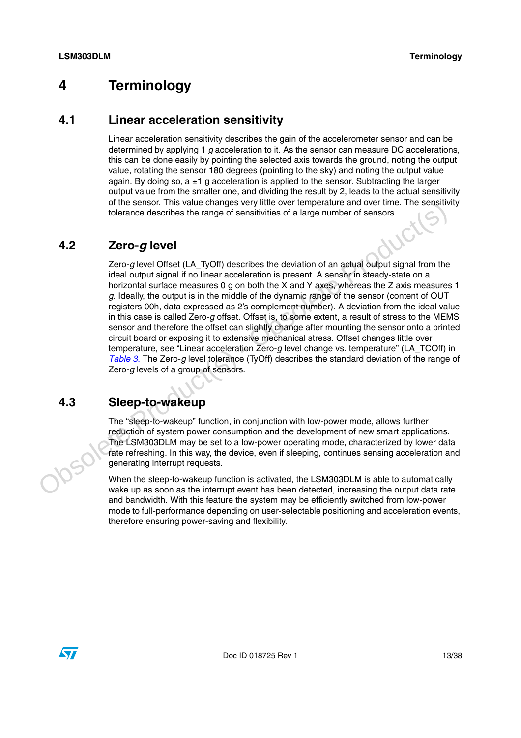# <span id="page-12-0"></span>**4 Terminology**

### <span id="page-12-1"></span>**4.1 Linear acceleration sensitivity**

Linear acceleration sensitivity describes the gain of the accelerometer sensor and can be determined by applying 1 *g* acceleration to it. As the sensor can measure DC accelerations, this can be done easily by pointing the selected axis towards the ground, noting the output value, rotating the sensor 180 degrees (pointing to the sky) and noting the output value again. By doing so,  $a \pm 1$  g acceleration is applied to the sensor. Subtracting the larger output value from the smaller one, and dividing the result by 2, leads to the actual sensitivity of the sensor. This value changes very little over temperature and over time. The sensitivity tolerance describes the range of sensitivities of a large number of sensors.

# <span id="page-12-2"></span>**4.2 Zero-***g* **level**

Zero-*g* level Offset (LA\_TyOff) describes the deviation of an actual output signal from the ideal output signal if no linear acceleration is present. A sensor in steady-state on a horizontal surface measures 0 g on both the X and Y axes, whereas the Z axis measures 1 *g*. Ideally, the output is in the middle of the dynamic range of the sensor (content of OUT registers 00h, data expressed as 2's complement number). A deviation from the ideal value in this case is called Zero-*g* offset. Offset is, to some extent, a result of stress to the MEMS sensor and therefore the offset can slightly change after mounting the sensor onto a printed circuit board or exposing it to extensive mechanical stress. Offset changes little over temperature, see "Linear acceleration Zero-*g* level change vs. temperature" (LA\_TCOff) in *Table 3.* The Zero-*g* level tolerance (TyOff) describes the standard deviation of the range of Zero-*g* levels of a group of sensors. more sensor. In its vasual changes very limit over the present over time, i.e. sensitivity<br>to fuel-mode describes the range of sensitivities of a large number of sensors.<br> **4.2**<br> **2CFO-g level**<br>
Zero level Of the full-perf

# <span id="page-12-3"></span>**4.3 Sleep-to-wakeup**

The "sleep-to-wakeup" function, in conjunction with low-power mode, allows further reduction of system power consumption and the development of new smart applications. The LSM303DLM may be set to a low-power operating mode, characterized by lower data rate refreshing. In this way, the device, even if sleeping, continues sensing acceleration and generating interrupt requests.

When the sleep-to-wakeup function is activated, the LSM303DLM is able to automatically wake up as soon as the interrupt event has been detected, increasing the output data rate and bandwidth. With this feature the system may be efficiently switched from low-power therefore ensuring power-saving and flexibility.

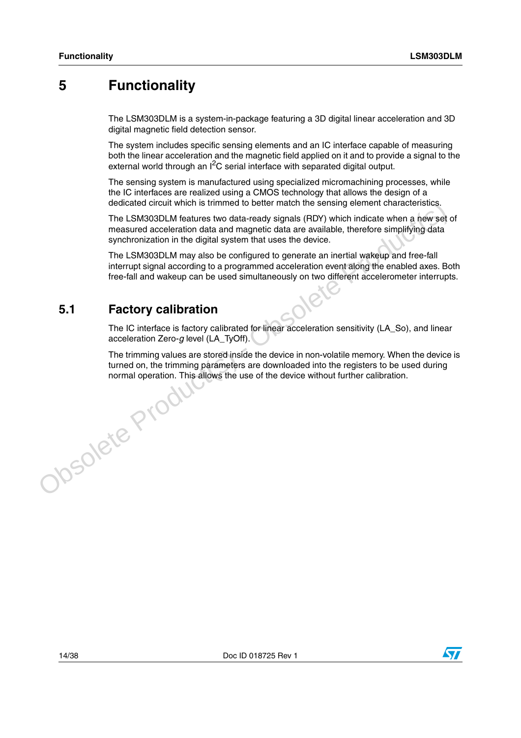# <span id="page-13-0"></span>**5 Functionality**

The LSM303DLM is a system-in-package featuring a 3D digital linear acceleration and 3D digital magnetic field detection sensor.

The system includes specific sensing elements and an IC interface capable of measuring both the linear acceleration and the magnetic field applied on it and to provide a signal to the external world through an  $I^2C$  serial interface with separated digital output.

The sensing system is manufactured using specialized micromachining processes, while the IC interfaces are realized using a CMOS technology that allows the design of a dedicated circuit which is trimmed to better match the sensing element characteristics.

The LSM303DLM features two data-ready signals (RDY) which indicate when a new set of measured acceleration data and magnetic data are available, therefore simplifying data synchronization in the digital system that uses the device.

The LSM303DLM may also be configured to generate an inertial wakeup and free-fall interrupt signal according to a programmed acceleration event along the enabled axes. Both free-fall and wakeup can be used simultaneously on two different accelerometer interrupts.

# <span id="page-13-1"></span>**5.1 Factory calibration**

The IC interface is factory calibrated for linear acceleration sensitivity (LA\_So), and linear acceleration Zero-*g* level (LA\_TyOff).

The trimming values are stored inside the device in non-volatile memory. When the device is turned on, the trimming parameters are downloaded into the registers to be used during normal operation. This allows the use of the device without further calibration.Josolete Produ

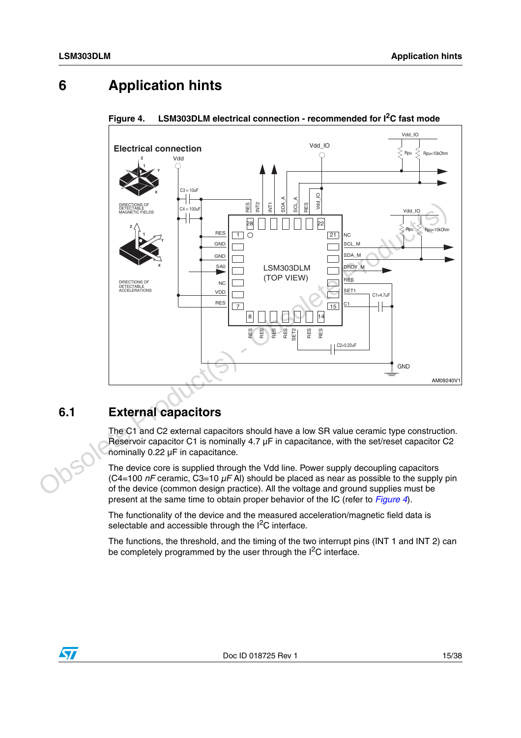# <span id="page-14-0"></span>**6 Application hints**



### <span id="page-14-2"></span>**Figure 4. LSM303DLM electrical connection - recommended for I2C fast mode**

# <span id="page-14-1"></span>**6.1 External capacitors**

The C1 and C2 external capacitors should have a low SR value ceramic type construction. Reservoir capacitor C1 is nominally  $4.7 \mu F$  in capacitance, with the set/reset capacitor C2 nominally 0.22 µF in capacitance.

The device core is supplied through the Vdd line. Power supply decoupling capacitors (C4=100 *nF* ceramic, C3=10 *µF* Al) should be placed as near as possible to the supply pin of the device (common design practice). All the voltage and ground supplies must be present at the same time to obtain proper behavior of the IC (refer to *[Figure 4](#page-14-2)*).

The functionality of the device and the measured acceleration/magnetic field data is selectable and accessible through the I<sup>2</sup>C interface.

The functions, the threshold, and the timing of the two interrupt pins (INT 1 and INT 2) can be completely programmed by the user through the  $I^2C$  interface.

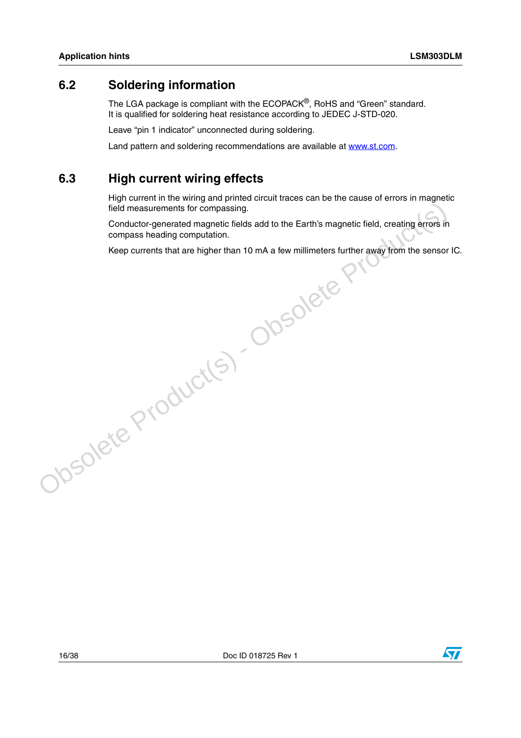# <span id="page-15-0"></span>**6.2 Soldering information**

The LGA package is compliant with the ECOPACK®, RoHS and "Green" standard. It is qualified for soldering heat resistance according to JEDEC J-STD-020.

Leave "pin 1 indicator" unconnected during soldering.

Land pattern and soldering recommendations are available at www.st.com.

# <span id="page-15-1"></span>**6.3 High current wiring effects**

High current in the wiring and printed circuit traces can be the cause of errors in magnetic field measurements for compassing.

Conductor-generated magnetic fields add to the Earth's magnetic field, creating errors in compass heading computation.

Keep currents that are higher than 10 mA a few millimeters further away from the sensor IC.obsolete Product(s) - Obsolete Pr

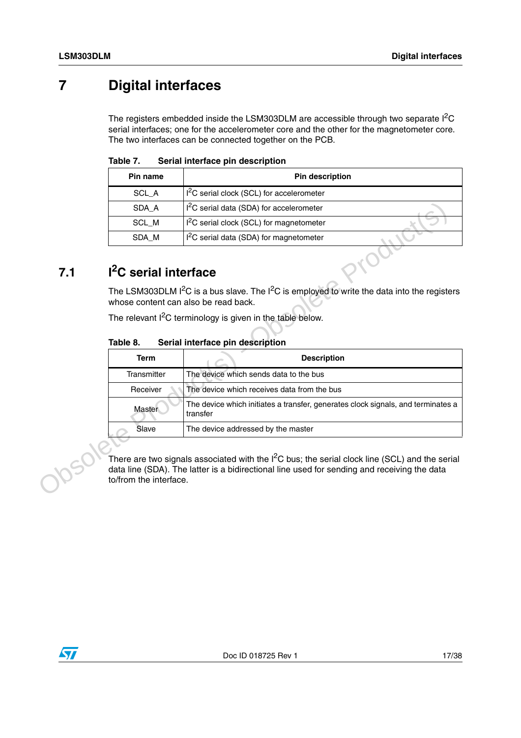# <span id="page-16-0"></span>**7 Digital interfaces**

The registers embedded inside the LSM303DLM are accessible through two separate  $I^2C$ serial interfaces; one for the accelerometer core and the other for the magnetometer core. The two interfaces can be connected together on the PCB.

<span id="page-16-2"></span>

| Table 7. |  |  |  | Serial interface pin description |
|----------|--|--|--|----------------------------------|
|----------|--|--|--|----------------------------------|

| Pin name | <b>Pin description</b>                             |
|----------|----------------------------------------------------|
| SCL A    | $12C$ serial clock (SCL) for accelerometer         |
| SDA A    | $12C$ serial data (SDA) for accelerometer          |
| SCL M    | <sup>2</sup> C serial clock (SCL) for magnetometer |
| SDA M    | $I2C$ serial data (SDA) for magnetometer           |

# <span id="page-16-1"></span>**7.1 I2C serial interface**

#### <span id="page-16-3"></span>**Table 8. Serial interface pin description**

| SDA_A                                | I <sup>2</sup> C serial data (SDA) for accelerometer                                             |
|--------------------------------------|--------------------------------------------------------------------------------------------------|
| SCL_M                                | I <sup>2</sup> C serial clock (SCL) for magnetometer                                             |
| SDA_M                                | I <sup>2</sup> C serial data (SDA) for magnetometer                                              |
| I <sup>2</sup> C serial interface    |                                                                                                  |
| whose content can also be read back. | The LSM303DLM $I^2C$ is a bus slave. The $I^2C$ is employed to write the data into the registers |
|                                      | The relevant $I^2C$ terminology is given in the table below.                                     |
| Table 8.                             | Serial interface pin description                                                                 |
| <b>Term</b>                          | <b>Description</b>                                                                               |
| Transmitter                          | The device which sends data to the bus                                                           |
| Receiver                             | The device which receives data from the bus                                                      |
|                                      | The device which initiates a transfer, generates clock signals, and terminates a                 |
| Master                               | transfer                                                                                         |
| Slave                                | The device addressed by the master                                                               |
|                                      |                                                                                                  |

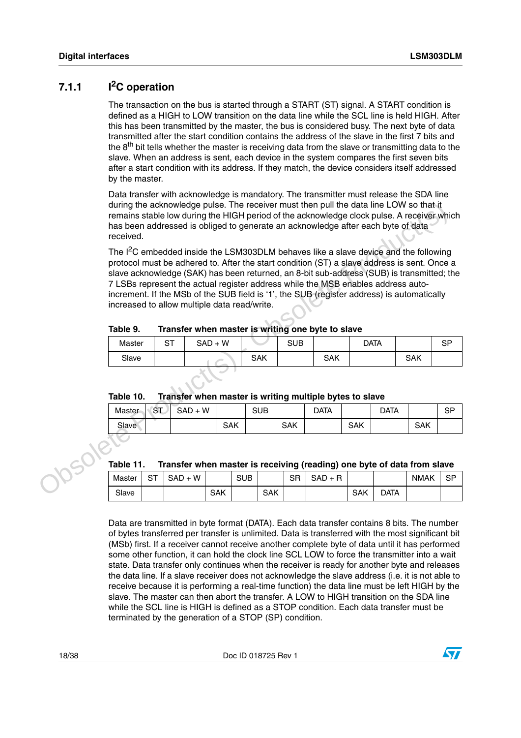## <span id="page-17-0"></span>**7.1.1 I2C operation**

The transaction on the bus is started through a START (ST) signal. A START condition is defined as a HIGH to LOW transition on the data line while the SCL line is held HIGH. After this has been transmitted by the master, the bus is considered busy. The next byte of data transmitted after the start condition contains the address of the slave in the first 7 bits and the 8<sup>th</sup> bit tells whether the master is receiving data from the slave or transmitting data to the slave. When an address is sent, each device in the system compares the first seven bits after a start condition with its address. If they match, the device considers itself addressed by the master.

Data transfer with acknowledge is mandatory. The transmitter must release the SDA line during the acknowledge pulse. The receiver must then pull the data line LOW so that it remains stable low during the HIGH period of the acknowledge clock pulse. A receiver which has been addressed is obliged to generate an acknowledge after each byte of data received.

The I<sup>2</sup>C embedded inside the LSM303DLM behaves like a slave device and the following protocol must be adhered to. After the start condition (ST) a slave address is sent. Once a slave acknowledge (SAK) has been returned, an 8-bit sub-address (SUB) is transmitted; the 7 LSBs represent the actual register address while the MSB enables address autoincrement. If the MSb of the SUB field is '1', the SUB (register address) is automatically increased to allow multiple data read/write. during the acknowledge pulse. The receiver must then pull the data line LOW so that it<br>mains stable low during the HIGH period of the acknowledge dcock pulse. A receiver whis<br>has been addressed is obliged to generate an ac

#### <span id="page-17-1"></span>**Table 9. Transfer when master is writing one byte to slave**

| Master | ST | $SAD + W$ |     | <b>SUB</b> |            | <b>DATA</b> |            | 9.<br>اب |
|--------|----|-----------|-----|------------|------------|-------------|------------|----------|
| Slave  |    |           | SAK |            | <b>SAK</b> |             | <b>SAK</b> |          |

### <span id="page-17-2"></span>**Table 10. Transfer when master is writing multiple bytes to slave**

<span id="page-17-3"></span>

| Master | <b>ST</b> | $+W$<br>SAD |            | <b>SUB</b> |            | Data |            | Data |            | SP |
|--------|-----------|-------------|------------|------------|------------|------|------------|------|------------|----|
| Slave  |           |             | <b>SAK</b> |            | <b>SAK</b> |      | <b>SAK</b> |      | <b>SAK</b> |    |

| Table 11. |    | Transfer when master is receiving (reading) one byte of data from slave |     |            |            |    |           |     |      |             |    |
|-----------|----|-------------------------------------------------------------------------|-----|------------|------------|----|-----------|-----|------|-------------|----|
| Master    | SТ | $SAD + W$                                                               |     | <b>SUB</b> |            | SR | $SAD + R$ |     |      | <b>NMAK</b> | SP |
| Slave     |    |                                                                         | SAK |            | <b>SAK</b> |    |           | SAK | DATA |             |    |

Data are transmitted in byte format (DATA). Each data transfer contains 8 bits. The number of bytes transferred per transfer is unlimited. Data is transferred with the most significant bit (MSb) first. If a receiver cannot receive another complete byte of data until it has performed some other function, it can hold the clock line SCL LOW to force the transmitter into a wait state. Data transfer only continues when the receiver is ready for another byte and releases the data line. If a slave receiver does not acknowledge the slave address (i.e. it is not able to receive because it is performing a real-time function) the data line must be left HIGH by the slave. The master can then abort the transfer. A LOW to HIGH transition on the SDA line while the SCL line is HIGH is defined as a STOP condition. Each data transfer must be terminated by the generation of a STOP (SP) condition.

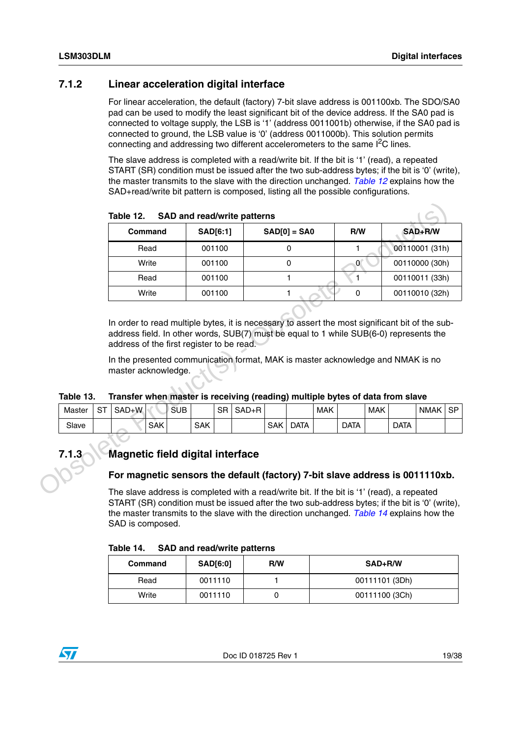### <span id="page-18-0"></span>**7.1.2 Linear acceleration digital interface**

For linear acceleration, the default (factory) 7-bit slave address is 001100xb. The SDO/SA0 pad can be used to modify the least significant bit of the device address. If the SA0 pad is connected to voltage supply, the LSB is '1' (address 0011001b) otherwise, if the SA0 pad is connected to ground, the LSB value is '0' (address 0011000b). This solution permits connecting and addressing two different accelerometers to the same I<sup>2</sup>C lines.

The slave address is completed with a read/write bit. If the bit is '1' (read), a repeated START (SR) condition must be issued after the two sub-address bytes; if the bit is '0' (write), the master transmits to the slave with the direction unchanged. *[Table 12](#page-18-2)* explains how the SAD+read/write bit pattern is composed, listing all the possible configurations.

| <b>SAD[6:1]</b><br>$SAD[0] = SAO$<br>SAD+R/W<br><b>Command</b><br>00110001 (31h)<br>001100<br>Read<br>0<br>1<br>Write<br>001100<br>00110000 (30h)<br>0<br>$\overline{0}$<br>001100<br>Read<br>1<br>00110011 (33h)<br>1.<br>Write<br>001100<br>$\mathbf 0$<br>00110010 (32h)<br>In order to read multiple bytes, it is necessary to assert the most significant bit of the sub-<br>address field. In other words, SUB(7) must be equal to 1 while SUB(6-0) represents the<br>address of the first register to be read.<br>In the presented communication format, MAK is master acknowledge and NMAK is no<br>master acknowledge.<br>Transfer when master is receiving (reading) multiple bytes of data from slave<br>$SAD + R$<br><b>ST</b><br>SAD+W<br><b>SUB</b><br><b>SR</b><br><b>MAK</b><br><b>MAK</b><br>Master<br><b>SAK</b><br>Slave<br><b>SAK</b><br><b>SAK</b><br><b>DATA</b><br><b>DATA</b><br><b>DATA</b> | Magnetic field digital interface |       |  |  |  |  |  |  | R/W |  |             |
|----------------------------------------------------------------------------------------------------------------------------------------------------------------------------------------------------------------------------------------------------------------------------------------------------------------------------------------------------------------------------------------------------------------------------------------------------------------------------------------------------------------------------------------------------------------------------------------------------------------------------------------------------------------------------------------------------------------------------------------------------------------------------------------------------------------------------------------------------------------------------------------------------------------------|----------------------------------|-------|--|--|--|--|--|--|-----|--|-------------|
| Table 13.                                                                                                                                                                                                                                                                                                                                                                                                                                                                                                                                                                                                                                                                                                                                                                                                                                                                                                            |                                  |       |  |  |  |  |  |  |     |  |             |
|                                                                                                                                                                                                                                                                                                                                                                                                                                                                                                                                                                                                                                                                                                                                                                                                                                                                                                                      |                                  |       |  |  |  |  |  |  |     |  |             |
|                                                                                                                                                                                                                                                                                                                                                                                                                                                                                                                                                                                                                                                                                                                                                                                                                                                                                                                      |                                  |       |  |  |  |  |  |  |     |  |             |
|                                                                                                                                                                                                                                                                                                                                                                                                                                                                                                                                                                                                                                                                                                                                                                                                                                                                                                                      |                                  |       |  |  |  |  |  |  |     |  |             |
|                                                                                                                                                                                                                                                                                                                                                                                                                                                                                                                                                                                                                                                                                                                                                                                                                                                                                                                      |                                  |       |  |  |  |  |  |  |     |  |             |
|                                                                                                                                                                                                                                                                                                                                                                                                                                                                                                                                                                                                                                                                                                                                                                                                                                                                                                                      |                                  |       |  |  |  |  |  |  |     |  |             |
|                                                                                                                                                                                                                                                                                                                                                                                                                                                                                                                                                                                                                                                                                                                                                                                                                                                                                                                      |                                  |       |  |  |  |  |  |  |     |  |             |
|                                                                                                                                                                                                                                                                                                                                                                                                                                                                                                                                                                                                                                                                                                                                                                                                                                                                                                                      |                                  |       |  |  |  |  |  |  |     |  |             |
|                                                                                                                                                                                                                                                                                                                                                                                                                                                                                                                                                                                                                                                                                                                                                                                                                                                                                                                      |                                  |       |  |  |  |  |  |  |     |  |             |
|                                                                                                                                                                                                                                                                                                                                                                                                                                                                                                                                                                                                                                                                                                                                                                                                                                                                                                                      |                                  |       |  |  |  |  |  |  |     |  |             |
|                                                                                                                                                                                                                                                                                                                                                                                                                                                                                                                                                                                                                                                                                                                                                                                                                                                                                                                      |                                  | 7.1.3 |  |  |  |  |  |  |     |  |             |
| For magnetic sensors the default (factory) 7-bit slave address is 0011110xb.                                                                                                                                                                                                                                                                                                                                                                                                                                                                                                                                                                                                                                                                                                                                                                                                                                         |                                  |       |  |  |  |  |  |  |     |  | <b>NMAK</b> |

<span id="page-18-2"></span>**Table 12. SAD and read/write patterns**

<span id="page-18-3"></span>

| Table 13. | Transfer when master is receiving (reading) multiple bytes of data from slave |
|-----------|-------------------------------------------------------------------------------|
|           |                                                                               |

| Master | $\mathbf{r}$<br>S. | J+W<br>SAD |     | <b>SUB</b> |            | <b>SR</b> | SAD+R |            |            | <b>MAK</b> |             | <b>MAK</b> |             | <b>NMAK</b> | SP |
|--------|--------------------|------------|-----|------------|------------|-----------|-------|------------|------------|------------|-------------|------------|-------------|-------------|----|
| Slave  |                    |            | SAK |            | <b>SAK</b> |           |       | <b>SAK</b> | <b>ATA</b> |            | <b>DATA</b> |            | <b>DATA</b> |             |    |

# <span id="page-18-1"></span>**7.1.3 Magnetic field digital interface**

#### **For magnetic sensors the default (factory) 7-bit slave address is 0011110xb.**

The slave address is completed with a read/write bit. If the bit is '1' (read), a repeated START (SR) condition must be issued after the two sub-address bytes; if the bit is '0' (write), the master transmits to the slave with the direction unchanged. *[Table 14](#page-18-4)* explains how the SAD is composed.

<span id="page-18-4"></span>

| Table 14. |  | <b>SAD and read/write patterns</b> |  |
|-----------|--|------------------------------------|--|
|-----------|--|------------------------------------|--|

| Command | <b>SAD[6:0]</b> | R/W | SAD+R/W        |
|---------|-----------------|-----|----------------|
| Read    | 0011110         |     | 00111101 (3Dh) |
| Write   | 0011110         |     | 00111100 (3Ch) |

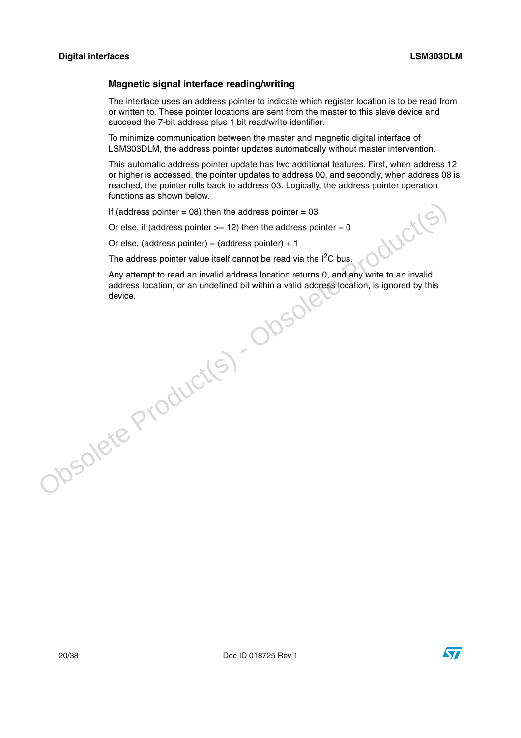#### **Magnetic signal interface reading/writing**

The interface uses an address pointer to indicate which register location is to be read from or written to. These pointer locations are sent from the master to this slave device and succeed the 7-bit address plus 1 bit read/write identifier.

To minimize communication between the master and magnetic digital interface of LSM303DLM, the address pointer updates automatically without master intervention.

This automatic address pointer update has two additional features. First, when address 12 or higher is accessed, the pointer updates to address 00, and secondly, when address 08 is reached, the pointer rolls back to address 03. Logically, the address pointer operation functions as shown below.

If (address pointer  $= 08$ ) then the address pointer  $= 03$ 

Or else, if (address pointer  $>= 12$ ) then the address pointer  $= 0$ 

Or else, (address pointer) =  $(address pointer) + 1$ 

The address pointer value itself cannot be read via the  $I^2C$  bus.

Any attempt to read an invalid address location returns 0, and any write to an invalid address location, or an undefined bit within a valid address location, is ignored by this device.If (address pointer = 08) then the address pointer = 03<br>
Or else, if (address pointer >= 12) then the address pointer = 0<br>
Or else, (address pointer) = (address pointer) + 1<br>
The address pointer value itself camont be rea

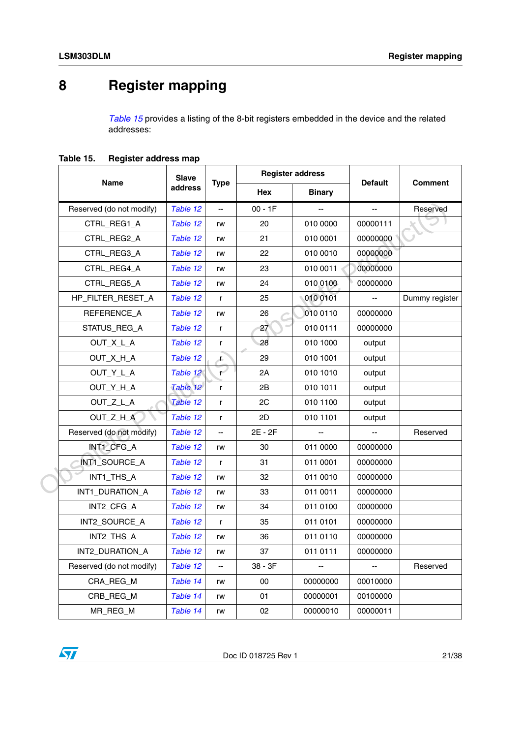# <span id="page-20-0"></span>**8 Register mapping**

*[Table 15](#page-20-1)* provides a listing of the 8-bit registers embedded in the device and the related addresses:

<span id="page-20-1"></span>**Table 15. Register address map**

|                          | <b>Slave</b><br><b>Type</b> |              |           | <b>Register address</b>  |                |                |
|--------------------------|-----------------------------|--------------|-----------|--------------------------|----------------|----------------|
| Name                     | address                     |              | Hex       | <b>Binary</b>            | <b>Default</b> | <b>Comment</b> |
| Reserved (do not modify) | Table 12                    | --           | $00 - 1F$ |                          | --             | Reserved       |
| CTRL_REG1_A              | Table 12                    | rw           | 20        | 010 0000                 | 00000111       |                |
| CTRL_REG2_A              | Table 12                    | rw           | 21        | 010 0001                 | 00000000       |                |
| CTRL REG3 A              | Table 12                    | rw           | 22        | 010 0010                 | 00000000       |                |
| CTRL_REG4_A              | Table 12                    | rw           | 23        | 010 0011                 | 00000000       |                |
| CTRL_REG5_A              | Table 12                    | rw           | 24        | 010 0100                 | 00000000       |                |
| HP_FILTER_RESET_A        | Table 12                    | $\mathsf{r}$ | 25        | 010 0101                 | Ξ.             | Dummy register |
| REFERENCE_A              | Table 12                    | rw           | 26        | 010 0110                 | 00000000       |                |
| STATUS REG A             | Table 12                    | $\mathsf{r}$ | 27        | 010 0111                 | 00000000       |                |
| OUT_X_L_A                | Table 12                    | r            | 28        | 010 1000                 | output         |                |
| OUT_X_H_A                | Table 12                    | r.           | 29        | 010 1001                 | output         |                |
| OUT_Y_L_A                | Table 12                    | ٣            | 2A        | 010 1010                 | output         |                |
| OUT_Y_H_A                | Table 12                    | $\mathsf{r}$ | 2B        | 010 1011                 | output         |                |
| OUT_Z_L_A                | Table 12                    | r            | 2C        | 010 1100                 | output         |                |
| OUT_Z_H_A                | Table 12                    | r            | 2D        | 010 1101                 | output         |                |
| Reserved (do not modify) | Table 12                    |              | 2E - 2F   |                          |                | Reserved       |
| INT1_CFG_A               | Table 12                    | rw           | 30        | 011 0000                 | 00000000       |                |
| INT1_SOURCE_A            | Table 12                    | $\mathsf{r}$ | 31        | 011 0001                 | 00000000       |                |
| INT1_THS_A               | Table 12                    | rw           | 32        | 011 0010                 | 00000000       |                |
| INT1_DURATION_A          | Table 12                    | rw           | 33        | 011 0011                 | 00000000       |                |
| INT2_CFG_A               | Table 12                    | rw           | 34        | 011 0100                 | 00000000       |                |
| INT2_SOURCE_A            | Table 12                    | $\mathsf{r}$ | 35        | 011 0101                 | 00000000       |                |
| INT2_THS_A               | Table 12                    | rw           | 36        | 011 0110                 | 00000000       |                |
| INT2_DURATION_A          | Table 12                    | rw           | 37        | 011 0111                 | 00000000       |                |
| Reserved (do not modify) | Table 12                    | $- -$        | $38 - 3F$ | $\overline{\phantom{a}}$ | --             | Reserved       |
| CRA_REG_M                | Table 14                    | rw           | 00        | 00000000                 | 00010000       |                |
| CRB_REG_M                | Table 14                    | rw           | 01        | 00000001                 | 00100000       |                |
| MR REG M                 | Table 14                    | rw           | 02        | 00000010                 | 00000011       |                |

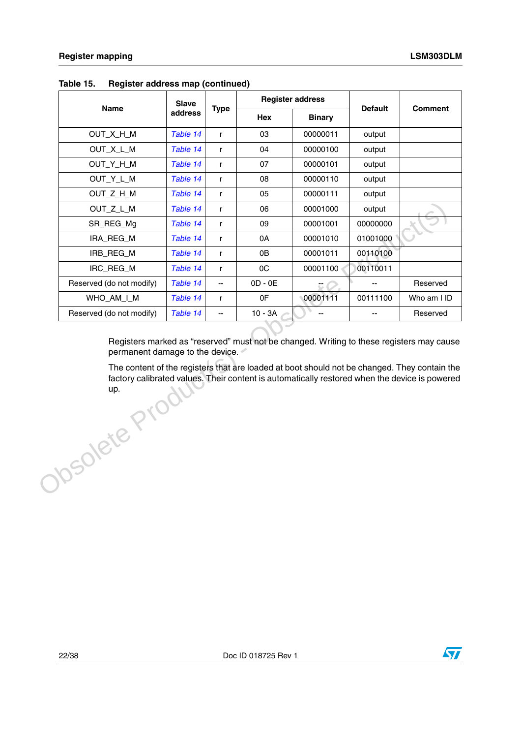|                                                                                                                                                                                                                                                                                                                                               | <b>Name</b><br>OUT_X_H_M<br>OUT_X_L_M<br>OUT_Y_H_M<br>OUT_Y_L_M | address<br>Table 14<br>Table 14<br>Table 14 | <b>Type</b><br>$\mathsf{r}$<br>$\mathsf{r}$ | Hex<br>03<br>04 | <b>Binary</b><br>00000011<br>00000100 | <b>Default</b><br>output<br>output | <b>Comment</b> |
|-----------------------------------------------------------------------------------------------------------------------------------------------------------------------------------------------------------------------------------------------------------------------------------------------------------------------------------------------|-----------------------------------------------------------------|---------------------------------------------|---------------------------------------------|-----------------|---------------------------------------|------------------------------------|----------------|
|                                                                                                                                                                                                                                                                                                                                               |                                                                 |                                             |                                             |                 |                                       |                                    |                |
|                                                                                                                                                                                                                                                                                                                                               |                                                                 |                                             |                                             |                 |                                       |                                    |                |
|                                                                                                                                                                                                                                                                                                                                               |                                                                 |                                             |                                             |                 |                                       |                                    |                |
|                                                                                                                                                                                                                                                                                                                                               |                                                                 |                                             | r                                           | 07              | 00000101                              | output                             |                |
|                                                                                                                                                                                                                                                                                                                                               |                                                                 | Table 14                                    | $\mathsf{r}$                                | 08              | 00000110                              | output                             |                |
|                                                                                                                                                                                                                                                                                                                                               | OUT_Z_H_M                                                       | Table 14                                    | $\mathsf{r}$                                | 05              | 00000111                              | output                             |                |
|                                                                                                                                                                                                                                                                                                                                               | OUT_Z_L_M                                                       | Table 14                                    | r                                           | 06              | 00001000                              | output                             |                |
|                                                                                                                                                                                                                                                                                                                                               | SR_REG_Mg                                                       | Table 14                                    | r                                           | 09              | 00001001                              | 00000000                           |                |
|                                                                                                                                                                                                                                                                                                                                               | IRA_REG_M                                                       | Table 14                                    | $\mathsf{r}$                                | 0A              | 00001010                              | 01001000                           |                |
|                                                                                                                                                                                                                                                                                                                                               | IRB_REG_M                                                       | Table 14                                    | $\mathsf{r}$                                | 0B              | 00001011                              | 00110100                           |                |
|                                                                                                                                                                                                                                                                                                                                               | IRC_REG_M                                                       | Table 14                                    | r                                           | OC              | 00001100                              | 00110011                           |                |
|                                                                                                                                                                                                                                                                                                                                               | Reserved (do not modify)                                        | Table 14                                    | $\overline{\phantom{a}}$                    | $OD - OE$       |                                       | $\overline{a}$                     | Reserved       |
|                                                                                                                                                                                                                                                                                                                                               | WHO_AM_I_M                                                      | Table 14                                    | $\mathsf{r}$                                | 0F              | 00001111                              | 00111100                           | Who am I ID    |
|                                                                                                                                                                                                                                                                                                                                               | Reserved (do not modify)                                        | Table 14                                    | $\overline{\phantom{a}}$                    | $10 - 3A$       | Ξ.                                    | --                                 | Reserved       |
| Registers marked as "reserved" must not be changed. Writing to these registers may cause<br>permanent damage to the device.<br>The content of the registers that are loaded at boot should not be changed. They contain the<br>factory calibrated values. Their content is automatically restored when the device is powered<br>Obsolete Prod |                                                                 |                                             |                                             |                 |                                       |                                    |                |

#### **Table 15. Register address map (continued)**

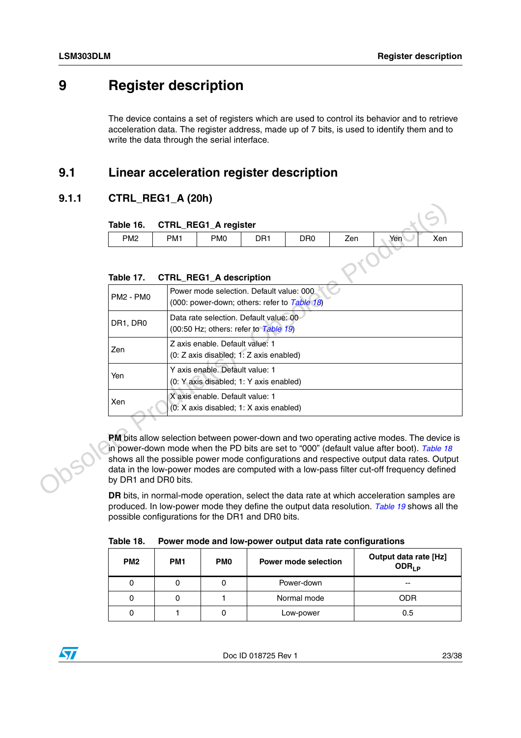# <span id="page-22-0"></span>**9 Register description**

The device contains a set of registers which are used to control its behavior and to retrieve acceleration data. The register address, made up of 7 bits, is used to identify them and to write the data through the serial interface.

# <span id="page-22-1"></span>**9.1 Linear acceleration register description**

## <span id="page-22-2"></span>**9.1.1 CTRL\_REG1\_A (20h)**

<span id="page-22-3"></span>

|                 | Table 16. CTRL_REG1_A register    |                 |                 |                 |     |     |     |
|-----------------|-----------------------------------|-----------------|-----------------|-----------------|-----|-----|-----|
| PM <sub>2</sub> | PM <sub>1</sub>                   | PM <sub>0</sub> | DR <sub>1</sub> | DR <sub>0</sub> | Zen | Yen | Xen |
|                 | Table 17. CTRL_REG1_A description |                 |                 |                 |     |     |     |

#### <span id="page-22-4"></span>**Table 17. CTRL\_REG1\_A description**

| Table 16.                                                                                                                                                                                                                                                                                                                                                                                               |                 | <b>CTRL_REG1_A register</b>    |                 |                 |     |     |     |
|---------------------------------------------------------------------------------------------------------------------------------------------------------------------------------------------------------------------------------------------------------------------------------------------------------------------------------------------------------------------------------------------------------|-----------------|--------------------------------|-----------------|-----------------|-----|-----|-----|
| PM <sub>2</sub>                                                                                                                                                                                                                                                                                                                                                                                         | PM <sub>1</sub> | PM <sub>0</sub>                | DR <sub>1</sub> | DR <sub>0</sub> | Zen | Yen | Xen |
| Table 17.                                                                                                                                                                                                                                                                                                                                                                                               |                 | <b>CTRL REG1 A description</b> |                 |                 |     |     |     |
| Power mode selection. Default value: 000<br><b>PM2 - PM0</b><br>(000: power-down; others: refer to Table 18)                                                                                                                                                                                                                                                                                            |                 |                                |                 |                 |     |     |     |
| Data rate selection. Default value: 00<br>DR1, DR0<br>(00:50 Hz; others: refer to Table 19)                                                                                                                                                                                                                                                                                                             |                 |                                |                 |                 |     |     |     |
| Z axis enable. Default value: 1<br>Zen<br>(0: Z axis disabled; 1: Z axis enabled)                                                                                                                                                                                                                                                                                                                       |                 |                                |                 |                 |     |     |     |
| Y axis enable. Default value: 1<br>Yen<br>(0: Y axis disabled; 1: Y axis enabled)                                                                                                                                                                                                                                                                                                                       |                 |                                |                 |                 |     |     |     |
| X axis enable. Default value: 1<br>Xen<br>(0: X axis disabled; 1: X axis enabled)                                                                                                                                                                                                                                                                                                                       |                 |                                |                 |                 |     |     |     |
| PM bits allow selection between power-down and two operating active modes. The device is<br>in power-down mode when the PD bits are set to "000" (default value after boot). Table 18<br>shows all the possible power mode configurations and respective output data rates. Output<br>data in the low-power modes are computed with a low-pass filter cut-off frequency defined<br>by DR1 and DR0 bits. |                 |                                |                 |                 |     |     |     |
| DR bits, in normal-mode operation, select the data rate at which acceleration samples are<br>produced. In low-power mode they define the output data resolution. Table 19 shows all the<br>possible configurations for the DR1 and DR0 bits.                                                                                                                                                            |                 |                                |                 |                 |     |     |     |

<span id="page-22-5"></span>

| Table 18. |  |  |  | Power mode and low-power output data rate configurations |
|-----------|--|--|--|----------------------------------------------------------|
|-----------|--|--|--|----------------------------------------------------------|

| PM <sub>2</sub> | PM <sub>1</sub> | <b>PMO</b> | <b>Power mode selection</b> | Output data rate [Hz]<br>$ODR_{LP}$ |
|-----------------|-----------------|------------|-----------------------------|-------------------------------------|
|                 |                 | 0          | Power-down                  | --                                  |
|                 |                 |            | Normal mode                 | ODR                                 |
|                 |                 | U          | Low-power                   | 0.5                                 |

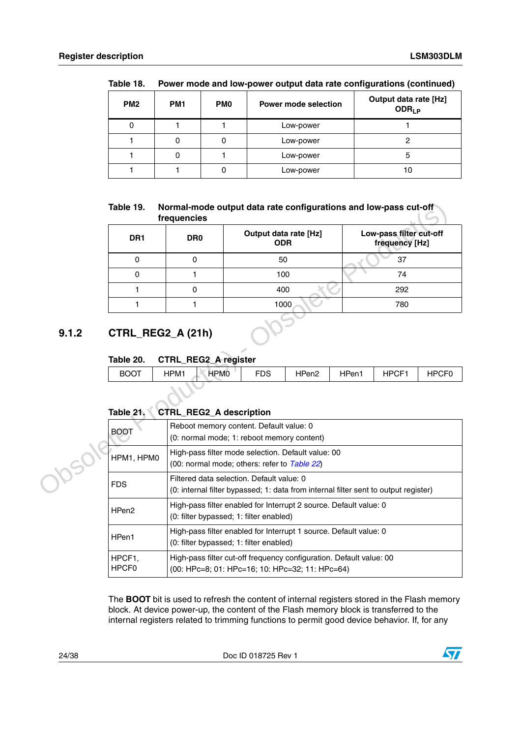| PM <sub>2</sub> | PM <sub>1</sub> | <b>PMO</b> | <b>Power mode selection</b> | Output data rate [Hz]<br>ODR <sub>LP</sub> |
|-----------------|-----------------|------------|-----------------------------|--------------------------------------------|
|                 |                 |            | Low-power                   |                                            |
|                 |                 | 0          | Low-power                   |                                            |
|                 |                 |            | Low-power                   | э                                          |
|                 |                 | 0          | Low-power                   |                                            |

#### **Table 18. Power mode and low-power output data rate configurations (continued)**

#### <span id="page-23-1"></span>**Table 19. Normal-mode output data rate configurations and low-pass cut-off frequencies**

| DR <sub>1</sub> | DR <sub>0</sub> | Output data rate [Hz]<br><b>ODR</b> | Low-pass filter cut-off<br>frequency [Hz] |
|-----------------|-----------------|-------------------------------------|-------------------------------------------|
|                 |                 | 50                                  | 37                                        |
|                 |                 | 100                                 | 74                                        |
|                 |                 | 400                                 | 292                                       |
|                 |                 | 1000                                | 780                                       |

# <span id="page-23-0"></span>**9.1.2 CTRL\_REG2\_A (21h)**

### <span id="page-23-2"></span>**Table 20. CTRL\_REG2\_A register**

| __          |      | -    | __         |       |                        |                   |                |
|-------------|------|------|------------|-------|------------------------|-------------------|----------------|
| <b>BOOT</b> | HPM1 | HPM0 | <b>FDS</b> | HPen2 | $\overline{ }$<br>'Pen | <b>HPCF</b><br>п. | . .<br>--<br>◡ |
|             |      |      |            |       |                        |                   |                |

### <span id="page-23-3"></span>**Table 21. CTRL\_REG2\_A description**

|       | Table 19.                      | Normal-mode output data rate configurations and low-pass cut-off<br>frequencies                                                  |                                     |                   |       |                                           |                   |
|-------|--------------------------------|----------------------------------------------------------------------------------------------------------------------------------|-------------------------------------|-------------------|-------|-------------------------------------------|-------------------|
|       | DR <sub>1</sub>                | DR <sub>0</sub>                                                                                                                  | Output data rate [Hz]<br><b>ODR</b> |                   |       | Low-pass filter cut-off<br>frequency [Hz] |                   |
|       | $\mathbf 0$                    | 0                                                                                                                                | 50                                  |                   |       | 37                                        |                   |
|       | $\mathbf{0}$                   | $\mathbf{1}$                                                                                                                     | 100                                 |                   |       | 74                                        |                   |
|       | 1                              | 0                                                                                                                                | 400                                 |                   |       | 292                                       |                   |
|       | 1                              | 1                                                                                                                                | 1000                                |                   |       | 780                                       |                   |
| 9.1.2 | CTRL_REG2_A (21h)<br>Table 20. | <b>CTRL_REG2_A register</b>                                                                                                      |                                     |                   |       |                                           |                   |
|       | <b>BOOT</b>                    | HPM1<br><b>HPMO</b>                                                                                                              | <b>FDS</b>                          | HPen <sub>2</sub> | HPen1 | HPCF1                                     | HPCF <sub>0</sub> |
|       | Table 21.                      | <b>CTRL_REG2_A description</b><br>Reboot memory content. Default value: 0                                                        |                                     |                   |       |                                           |                   |
|       | <b>BOOT</b>                    | (0: normal mode; 1: reboot memory content)                                                                                       |                                     |                   |       |                                           |                   |
|       | HPM1, HPM0                     | High-pass filter mode selection. Default value: 00<br>(00: normal mode; others: refer to Table 22)                               |                                     |                   |       |                                           |                   |
|       | <b>FDS</b>                     | Filtered data selection. Default value: 0<br>(0: internal filter bypassed; 1: data from internal filter sent to output register) |                                     |                   |       |                                           |                   |
|       | HPen <sub>2</sub>              | High-pass filter enabled for Interrupt 2 source. Default value: 0<br>(0: filter bypassed; 1: filter enabled)                     |                                     |                   |       |                                           |                   |
|       | HPen1                          | High-pass filter enabled for Interrupt 1 source. Default value: 0<br>(0: filter bypassed; 1: filter enabled)                     |                                     |                   |       |                                           |                   |
|       | HPCF1,<br>HPCF0                | High-pass filter cut-off frequency configuration. Default value: 00<br>(00: HPc=8; 01: HPc=16; 10: HPc=32; 11: HPc=64)           |                                     |                   |       |                                           |                   |

The **BOOT** bit is used to refresh the content of internal registers stored in the Flash memory block. At device power-up, the content of the Flash memory block is transferred to the internal registers related to trimming functions to permit good device behavior. If, for any

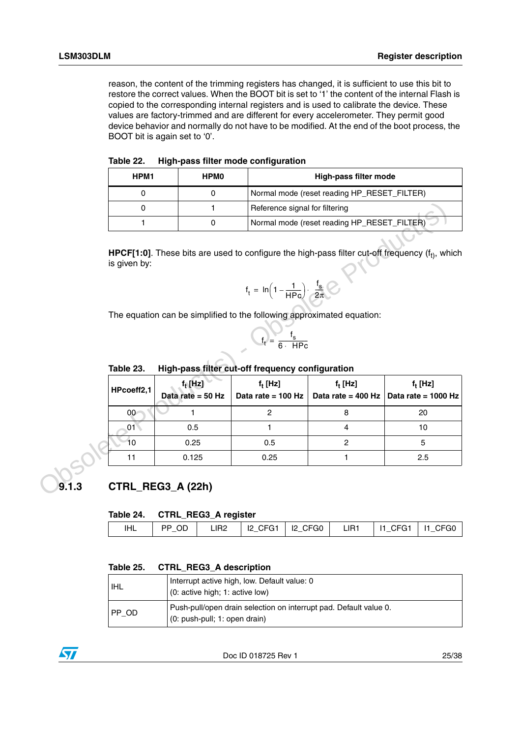reason, the content of the trimming registers has changed, it is sufficient to use this bit to restore the correct values. When the BOOT bit is set to '1' the content of the internal Flash is copied to the corresponding internal registers and is used to calibrate the device. These values are factory-trimmed and are different for every accelerometer. They permit good device behavior and normally do not have to be modified. At the end of the boot process, the BOOT bit is again set to '0'.

<span id="page-24-1"></span>

| Table 22. |  |  | High-pass filter mode configuration |
|-----------|--|--|-------------------------------------|
|-----------|--|--|-------------------------------------|

| HPM1 | <b>HPMO</b> | High-pass filter mode                       |
|------|-------------|---------------------------------------------|
|      |             | Normal mode (reset reading HP_RESET_FILTER) |
|      |             | Reference signal for filtering              |
|      |             | Normal mode (reset reading HP_RESET_FILTER) |

$$
f_t = \ln\left(1 - \frac{1}{HPC}\right) \cdot \frac{f_s}{2\pi} \left(2\right)
$$

$$
f_t = \frac{f_s}{6 \cdot \text{ HPC}}
$$

#### <span id="page-24-2"></span>Table 23. **Table 23. High-pass filter cut-off frequency configuration**

|       | $\pmb{0}$       | 1                                 | Reference signal for filtering                                         |                                             |                                                                                                            |
|-------|-----------------|-----------------------------------|------------------------------------------------------------------------|---------------------------------------------|------------------------------------------------------------------------------------------------------------|
|       | 1               | $\mathbf 0$                       |                                                                        | Normal mode (reset reading HP_RESET_FILTER) |                                                                                                            |
|       | is given by:    |                                   |                                                                        |                                             | <b>HPCF[1:0]</b> . These bits are used to configure the high-pass filter cut-off frequency ( $ft$ ), which |
|       |                 |                                   | $f_t = \ln\left(1 - \frac{1}{HPc}\right) \cdot \frac{f_s}{2\pi}$       |                                             |                                                                                                            |
|       |                 |                                   | The equation can be simplified to the following approximated equation: |                                             |                                                                                                            |
|       |                 |                                   | $f_t = \frac{f_s}{6 \cdot \text{HPC}}$                                 |                                             |                                                                                                            |
|       | Table 23.       |                                   | High-pass filter cut-off frequency configuration                       |                                             |                                                                                                            |
|       | HPcoeff2,1      | $f_t$ [Hz]<br>Data rate = $50$ Hz | $f_t$ [Hz]<br>Data rate = 100 Hz                                       | $f_t$ [Hz]<br>Data rate = $400$ Hz          | $f_t$ [Hz]<br>Data rate = 1000 Hz                                                                          |
|       | 00 <sup>1</sup> |                                   | $\overline{c}$                                                         | 8                                           | 20                                                                                                         |
|       | 01 <sup>2</sup> | 0.5                               | 1                                                                      | $\overline{4}$                              | 10                                                                                                         |
|       | 10              | 0.25                              | 0.5                                                                    | $\overline{c}$                              | 5                                                                                                          |
|       | 11              | 0.125                             | 0.25                                                                   | 1                                           | 2.5                                                                                                        |
| 9.1.3 |                 | CTRL_REG3_A (22h)                 |                                                                        |                                             |                                                                                                            |
|       | Table 24.       | <b>CTRL_REG3_A register</b>       |                                                                        |                                             |                                                                                                            |

# <span id="page-24-0"></span>**9.1.3 CTRL\_REG3\_A (22h)**

#### <span id="page-24-3"></span>**Table 24. CTRL\_REG3\_A register**

| IHL | PP OD |  |  | LIR2   I2 CFG1   I2 CFG0   LIR1   I1 CFG1   I1 CFG0 |  |
|-----|-------|--|--|-----------------------------------------------------|--|
|     |       |  |  |                                                     |  |

#### <span id="page-24-4"></span>**Table 25. CTRL\_REG3\_A description**

| I IHL   | Interrupt active high, low. Default value: 0<br>(0: active high; 1: active low)                      |
|---------|------------------------------------------------------------------------------------------------------|
| $PP$ OD | Push-pull/open drain selection on interrupt pad. Default value 0.<br>$(0: push-pull; 1: open drain)$ |



Doc ID 018725 Rev 1 25/38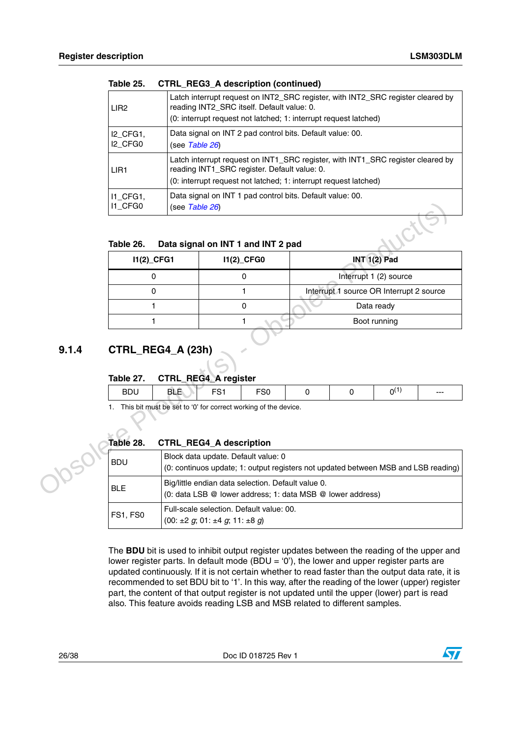| LIR <sub>2</sub>                            | Latch interrupt request on INT2_SRC register, with INT2_SRC register cleared by<br>reading INT2_SRC itself. Default value: 0.<br>(0: interrupt request not latched; 1: interrupt request latched)   |
|---------------------------------------------|-----------------------------------------------------------------------------------------------------------------------------------------------------------------------------------------------------|
| I2 CFG1,<br>I <sub>2</sub> CFG <sub>0</sub> | Data signal on INT 2 pad control bits. Default value: 00.<br>(see <i>Table 26</i> )                                                                                                                 |
| LIR <sub>1</sub>                            | Latch interrupt request on INT1_SRC register, with INT1_SRC register cleared by<br>reading INT1_SRC register. Default value: 0.<br>(0: interrupt request not latched; 1: interrupt request latched) |
| 11 CFG1,<br>11 CFG0                         | Data signal on INT 1 pad control bits. Default value: 00.<br>(see <i>Table 26</i> )                                                                                                                 |

#### **Table 25. CTRL\_REG3\_A description (continued)**

#### <span id="page-25-1"></span>**Table 26. Data signal on INT 1 and INT 2 pad**

| I1_CFG0                 | (see Table 26)                                                                                   |     |                                                    |                                                                                    |   |                        |  |
|-------------------------|--------------------------------------------------------------------------------------------------|-----|----------------------------------------------------|------------------------------------------------------------------------------------|---|------------------------|--|
| Table 26.               | Data signal on INT 1 and INT 2 pad                                                               |     |                                                    |                                                                                    |   |                        |  |
| $11(2)$ <sub>CFG1</sub> |                                                                                                  |     | 11(2)_CFG0                                         |                                                                                    |   | <b>INT 1(2) Pad</b>    |  |
| 0                       |                                                                                                  |     | 0                                                  |                                                                                    |   | Interrupt 1 (2) source |  |
| 0                       |                                                                                                  |     | 1                                                  | Interrupt 1 source OR Interrupt 2 source                                           |   |                        |  |
| 1                       |                                                                                                  |     | $\mathbf 0$                                        |                                                                                    |   | Data ready             |  |
| 1                       |                                                                                                  |     | 1                                                  |                                                                                    |   | Boot running           |  |
| Table 27.<br><b>BDU</b> | <b>CTRL_REG4_A register</b><br><b>BLE</b>                                                        | FS1 | FS <sub>0</sub>                                    | $\Omega$                                                                           |   | $0^{(1)}$              |  |
|                         |                                                                                                  |     |                                                    |                                                                                    | 0 |                        |  |
| 1.<br>Table 28.         | This bit must be set to '0' for correct working of the device.<br><b>CTRL_REG4_A description</b> |     |                                                    |                                                                                    |   |                        |  |
| <b>BDU</b>              |                                                                                                  |     | Block data update. Default value: 0                | (0: continuos update; 1: output registers not updated between MSB and LSB reading) |   |                        |  |
| <b>BLE</b>              |                                                                                                  |     | Big/little endian data selection. Default value 0. | (0: data LSB @ lower address; 1: data MSB @ lower address)                         |   |                        |  |
| FS1, FS0                | $(00. +2 \alpha \cdot 01. +4 \alpha \cdot 11. +8 \alpha)$                                        |     | Full-scale selection. Default value: 00.           |                                                                                    |   |                        |  |

### <span id="page-25-0"></span>**9.1.4 CTRL\_REG4\_A (23h)**

#### <span id="page-25-2"></span>**Table 27. CTRL\_REG4\_A register**

| ◡<br>-- | $  -$ | $-\sim$<br>ou |  | $--$ |
|---------|-------|---------------|--|------|
|         |       |               |  |      |

#### <span id="page-25-3"></span>**Table 28. CTRL\_REG4\_A description**

| Table 28.  | <b>CTRL_REG4_A description</b>                                                                                            |
|------------|---------------------------------------------------------------------------------------------------------------------------|
| <b>BDU</b> | Block data update. Default value: 0<br>(0: continuos update; 1: output registers not updated between MSB and LSB reading) |
| <b>BLE</b> | Big/little endian data selection. Default value 0.<br>(0: data LSB @ lower address; 1: data MSB @ lower address)          |
| FS1, FS0   | Full-scale selection. Default value: 00.<br>$(00: \pm 2 \text{ g}; 01: \pm 4 \text{ g}; 11: \pm 8 \text{ g})$             |

The **BDU** bit is used to inhibit output register updates between the reading of the upper and lower register parts. In default mode (BDU = '0'), the lower and upper register parts are updated continuously. If it is not certain whether to read faster than the output data rate, it is recommended to set BDU bit to '1'. In this way, after the reading of the lower (upper) register part, the content of that output register is not updated until the upper (lower) part is read also. This feature avoids reading LSB and MSB related to different samples.

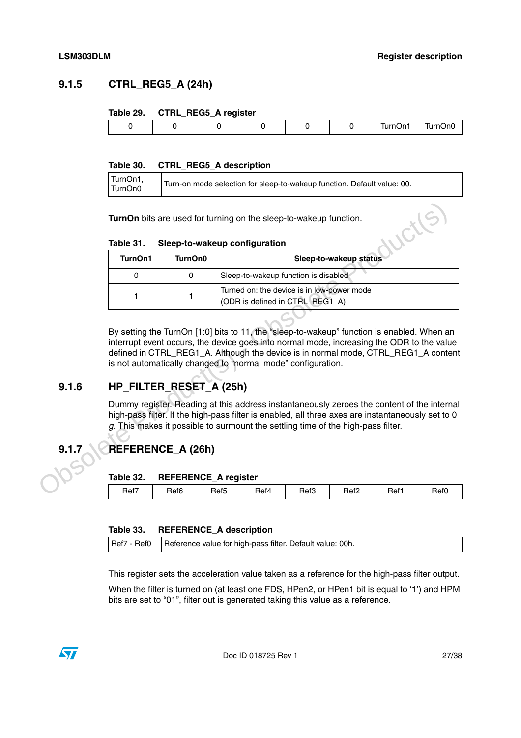### <span id="page-26-0"></span>**9.1.5 CTRL\_REG5\_A (24h)**

#### <span id="page-26-3"></span>**Table 29. CTRL\_REG5\_A register**

|  | __ |  |              |              |
|--|----|--|--------------|--------------|
|  |    |  | )n1<br>lurní | ∵ırnt<br>∵mu |
|  |    |  |              |              |

#### <span id="page-26-4"></span>**Table 30. CTRL\_REG5\_A description**

| TurnOn1,<br>TurnOn0 | Turn-on mode selection for sleep-to-wakeup function. Default value: 00. |
|---------------------|-------------------------------------------------------------------------|
|                     |                                                                         |

#### <span id="page-26-5"></span>**Table 31. Sleep-to-wakeup configuration**

|       | Table 31.<br>TurnOn1    | TurnOn0                     | Sleep-to-wakeup configuration                                                                                                                                                                                                                                                                                                                 | Sleep-to-wakeup status |  |
|-------|-------------------------|-----------------------------|-----------------------------------------------------------------------------------------------------------------------------------------------------------------------------------------------------------------------------------------------------------------------------------------------------------------------------------------------|------------------------|--|
|       |                         |                             |                                                                                                                                                                                                                                                                                                                                               |                        |  |
|       | 0                       | 0                           | Sleep-to-wakeup function is disabled                                                                                                                                                                                                                                                                                                          |                        |  |
|       | 1                       | 1                           | Turned on: the device is in low-power mode<br>(ODR is defined in CTRL_REG1_A)                                                                                                                                                                                                                                                                 |                        |  |
|       |                         |                             | By setting the TurnOn [1:0] bits to 11, the "sleep-to-wakeup" function is enabled. When an<br>interrupt event occurs, the device goes into normal mode, increasing the ODR to the value<br>defined in CTRL_REG1_A. Although the device is in normal mode, CTRL_REG1_A content<br>is not automatically changed to "normal mode" configuration. |                        |  |
| 9.1.6 | HP_FILTER_RESET_A (25h) |                             |                                                                                                                                                                                                                                                                                                                                               |                        |  |
|       |                         |                             | Dummy register. Reading at this address instantaneously zeroes the content of the internal<br>high-pass filter. If the high-pass filter is enabled, all three axes are instantaneously set to 0<br>g. This makes it possible to surmount the settling time of the high-pass filter.                                                           |                        |  |
| 9.1.7 | REFERENCE_A (26h)       |                             |                                                                                                                                                                                                                                                                                                                                               |                        |  |
|       | Table 32.               | <b>REFERENCE_A register</b> |                                                                                                                                                                                                                                                                                                                                               |                        |  |

## <span id="page-26-1"></span>**9.1.6 HP\_FILTER\_RESET\_A (25h)**

# <span id="page-26-2"></span>**9.1.7 REFERENCE\_A (26h)**

#### <span id="page-26-6"></span>**Table 32. REFERENCE\_A register**

| Ref7 | Ref6 | Ref5 | Ret4 | Ref3 | Ref <sub>2</sub> | Ref1 | Ref0 |
|------|------|------|------|------|------------------|------|------|
|      |      |      |      |      |                  |      |      |

#### <span id="page-26-7"></span>**Table 33. REFERENCE\_A description**

|  | Ref7 - Ref0   Reference value for high-pass filter. Default value: 00h. |
|--|-------------------------------------------------------------------------|
|--|-------------------------------------------------------------------------|

This register sets the acceleration value taken as a reference for the high-pass filter output.

When the filter is turned on (at least one FDS, HPen2, or HPen1 bit is equal to '1') and HPM bits are set to "01", filter out is generated taking this value as a reference.

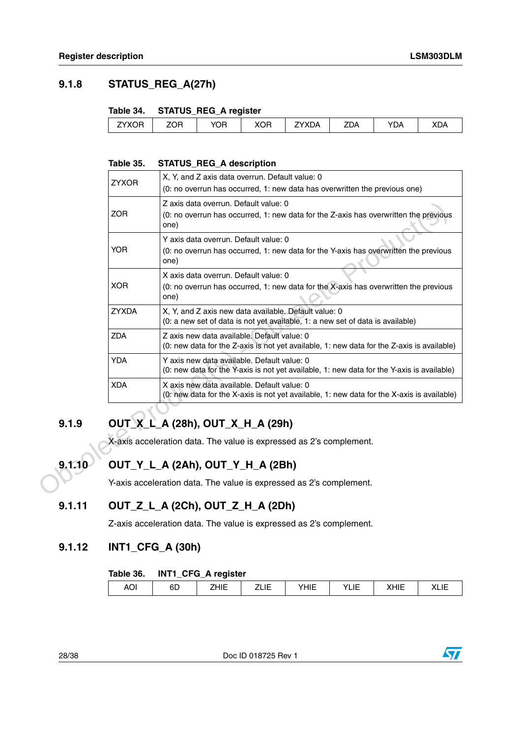# <span id="page-27-0"></span>**9.1.8 STATUS\_REG\_A(27h)**

#### <span id="page-27-5"></span>**Table 34. STATUS\_REG\_A register**

|                        |            | _<br>. |            |                                                |     |     |            |
|------------------------|------------|--------|------------|------------------------------------------------|-----|-----|------------|
| $7YXC^-$<br><b>XUH</b> | <b>ZOR</b> | YOR    | von<br>vuu | $\sim$ $\sim$ $\sim$ $\sim$ $\sim$<br>XDA<br>^ | ZDA | 'DA | <b>XDA</b> |
|                        |            |        |            |                                                |     |     |            |

#### <span id="page-27-6"></span>**Table 35. STATUS\_REG\_A description**

|        | <b>ZYXOR</b> | X, Y, and Z axis data overrun. Default value: 0<br>(0: no overrun has occurred, 1: new data has overwritten the previous one)             |
|--------|--------------|-------------------------------------------------------------------------------------------------------------------------------------------|
|        | <b>ZOR</b>   | Z axis data overrun. Default value: 0<br>(0: no overrun has occurred, 1: new data for the Z-axis has overwritten the previous<br>one)     |
|        | <b>YOR</b>   | Y axis data overrun. Default value: 0<br>(0: no overrun has occurred, 1: new data for the Y-axis has overwritten the previous<br>one)     |
|        | <b>XOR</b>   | X axis data overrun. Default value: 0<br>(0: no overrun has occurred, 1: new data for the X-axis has overwritten the previous<br>one)     |
|        | <b>ZYXDA</b> | X, Y, and Z axis new data available. Default value: 0<br>(0: a new set of data is not yet available, 1: a new set of data is available)   |
|        | <b>ZDA</b>   | Z axis new data available. Default value: 0<br>(0: new data for the Z-axis is not yet available, 1: new data for the Z-axis is available) |
|        | <b>YDA</b>   | Y axis new data available. Default value: 0<br>(0: new data for the Y-axis is not yet available, 1: new data for the Y-axis is available) |
|        | <b>XDA</b>   | X axis new data available. Default value: 0<br>(0: new data for the X-axis is not yet available, 1: new data for the X-axis is available) |
| 9.1.9  |              | OUT_X_L_A (28h), OUT_X_H_A (29h)<br>X-axis acceleration data. The value is expressed as 2's complement.                                   |
| 9.1.10 |              | OUT_Y_L_A (2Ah), OUT_Y_H_A (2Bh)<br>Y-axis acceleration data. The value is expressed as 2's complement.                                   |
| 9.1.11 |              | OUT_Z_L_A (2Ch), OUT_Z_H_A (2Dh)<br>. <del>. .</del>                                                                                      |

# <span id="page-27-1"></span>**9.1.9 OUT\_X\_L\_A (28h), OUT\_X\_H\_A (29h)**

# <span id="page-27-2"></span>**9.1.10 OUT\_Y\_L\_A (2Ah), OUT\_Y\_H\_A (2Bh)**

# <span id="page-27-3"></span>**9.1.11 OUT\_Z\_L\_A (2Ch), OUT\_Z\_H\_A (2Dh)**

Z-axis acceleration data. The value is expressed as 2's complement.

### <span id="page-27-4"></span>**9.1.12 INT1\_CFG\_A (30h)**

#### <span id="page-27-7"></span>**Table 36. INT1\_CFG\_A register**

| AO. | cг<br>ט∪ | HЕ | ---- | YHIE | . .<br>$\mathcal{L}'$<br>. .<br>니니<br>$- -$ | $\cdots$<br>$\cdots$<br>┅<br>M | ៶∟ι∟ |
|-----|----------|----|------|------|---------------------------------------------|--------------------------------|------|
|-----|----------|----|------|------|---------------------------------------------|--------------------------------|------|

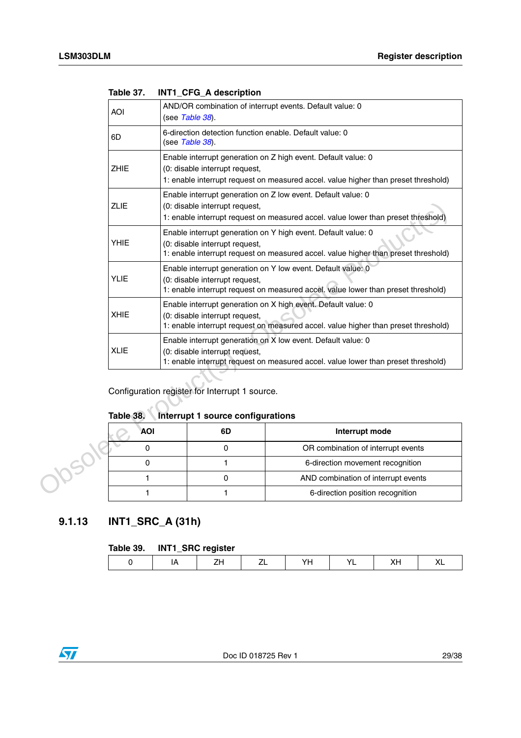| <b>AOI</b>  |            | (see Table 38).                                                                            | AND/OR combination of interrupt events. Default value: 0                                                                                            |
|-------------|------------|--------------------------------------------------------------------------------------------|-----------------------------------------------------------------------------------------------------------------------------------------------------|
| 6D          |            | (see Table 38).                                                                            | 6-direction detection function enable. Default value: 0                                                                                             |
| <b>ZHIE</b> |            | (0: disable interrupt request,                                                             | Enable interrupt generation on Z high event. Default value: 0<br>1: enable interrupt request on measured accel. value higher than preset threshold) |
| <b>ZLIE</b> |            | (0: disable interrupt request,                                                             | Enable interrupt generation on Z low event. Default value: 0<br>1: enable interrupt request on measured accel. value lower than preset threshold)   |
| <b>YHIE</b> |            | (0: disable interrupt request,                                                             | Enable interrupt generation on Y high event. Default value: 0<br>1: enable interrupt request on measured accel. value higher than preset threshold) |
| <b>YLIE</b> |            | (0: disable interrupt request,                                                             | Enable interrupt generation on Y low event. Default value: 0<br>1: enable interrupt request on measured accel. value lower than preset threshold)   |
| <b>XHIE</b> |            | (0: disable interrupt request,                                                             | Enable interrupt generation on X high event. Default value: 0<br>1: enable interrupt request on measured accel. value higher than preset threshold) |
| <b>XLIE</b> |            | (0: disable interrupt request,                                                             | Enable interrupt generation on X low event. Default value: 0<br>1: enable interrupt request on measured accel. value lower than preset threshold)   |
| Table 38.   |            | Configuration register for Interrupt 1 source.<br><b>Interrupt 1 source configurations</b> |                                                                                                                                                     |
|             | <b>AOI</b> | 6D                                                                                         | Interrupt mode                                                                                                                                      |
|             |            |                                                                                            |                                                                                                                                                     |
| $\Omega$    |            | 0                                                                                          | OR combination of interrupt events                                                                                                                  |
| 0           |            | $\mathbf{1}$                                                                               | 6-direction movement recognition                                                                                                                    |
|             | 1          | 0                                                                                          | AND combination of interrupt events                                                                                                                 |

<span id="page-28-1"></span>

| Table 37. |  | INT1_CFG_A description |
|-----------|--|------------------------|
|           |  |                        |

# <span id="page-28-2"></span>**Table 38. Interrupt 1 source configurations**

| AOI | 6D | Interrupt mode                      |
|-----|----|-------------------------------------|
|     |    | OR combination of interrupt events  |
|     |    | 6-direction movement recognition    |
|     |    | AND combination of interrupt events |
|     |    | 6-direction position recognition    |

# <span id="page-28-0"></span>**9.1.13 INT1\_SRC\_A (31h)**

### <span id="page-28-3"></span>**Table 39. INT1\_SRC register**

| . | ___<br>- - -<br>___ |    |         |       |  |
|---|---------------------|----|---------|-------|--|
|   |                     | v. | $\cdot$ | ′ \ ∟ |  |
|   |                     |    |         |       |  |

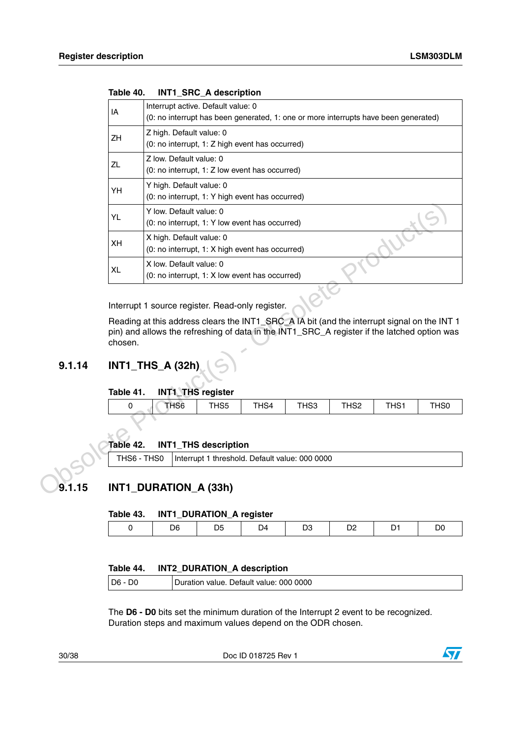|        | IA          | Interrupt active. Default value: 0                                                          |                             |      |                                                |                  |      |                  |
|--------|-------------|---------------------------------------------------------------------------------------------|-----------------------------|------|------------------------------------------------|------------------|------|------------------|
|        |             | (0: no interrupt has been generated, 1: one or more interrupts have been generated)         |                             |      |                                                |                  |      |                  |
|        |             | Z high. Default value: 0                                                                    |                             |      |                                                |                  |      |                  |
|        | ZH          | (0: no interrupt, 1: Z high event has occurred)                                             |                             |      |                                                |                  |      |                  |
|        | <b>ZL</b>   | Z low. Default value: 0                                                                     |                             |      |                                                |                  |      |                  |
|        |             | (0: no interrupt, 1: Z low event has occurred)                                              |                             |      |                                                |                  |      |                  |
|        | YH          | Y high. Default value: 0                                                                    |                             |      |                                                |                  |      |                  |
|        |             | (0: no interrupt, 1: Y high event has occurred)                                             |                             |      |                                                |                  |      |                  |
|        | YL          | Y low. Default value: 0                                                                     |                             |      |                                                |                  |      |                  |
|        |             | (0: no interrupt, 1: Y low event has occurred)                                              |                             |      |                                                |                  |      |                  |
|        | XH          | X high. Default value: 0                                                                    |                             |      |                                                |                  |      |                  |
|        |             | (0: no interrupt, 1: X high event has occurred)                                             |                             |      |                                                |                  |      |                  |
|        | <b>XL</b>   | X low. Default value: 0                                                                     |                             |      |                                                |                  |      |                  |
|        |             | (0: no interrupt, 1: X low event has occurred)                                              |                             |      |                                                |                  |      |                  |
|        |             |                                                                                             |                             |      |                                                |                  |      |                  |
|        |             | Interrupt 1 source register. Read-only register.                                            |                             |      |                                                |                  |      |                  |
|        |             | Reading at this address clears the INT1_SRC_A IA bit (and the interrupt signal on the INT 1 |                             |      |                                                |                  |      |                  |
|        |             | pin) and allows the refreshing of data in the INT1_SRC_A register if the latched option was |                             |      |                                                |                  |      |                  |
|        | chosen.     |                                                                                             |                             |      |                                                |                  |      |                  |
|        |             |                                                                                             |                             |      |                                                |                  |      |                  |
| 9.1.14 |             | INT1_THS_A (32h)                                                                            |                             |      |                                                |                  |      |                  |
|        |             |                                                                                             |                             |      |                                                |                  |      |                  |
|        | Table 41.   | <b>INT1 THS register</b>                                                                    |                             |      |                                                |                  |      |                  |
|        | 0           | THS <sub>6</sub>                                                                            | THS5                        | THS4 | THS3                                           | THS <sub>2</sub> | THS1 | TH <sub>S0</sub> |
|        |             |                                                                                             |                             |      |                                                |                  |      |                  |
|        |             |                                                                                             |                             |      |                                                |                  |      |                  |
|        | Table 42.   |                                                                                             | <b>INT1_THS description</b> |      |                                                |                  |      |                  |
|        | THS6 - THS0 |                                                                                             |                             |      | Interrupt 1 threshold. Default value: 000 0000 |                  |      |                  |
|        |             |                                                                                             |                             |      |                                                |                  |      |                  |
| 9.1.15 |             | INT1_DURATION_A (33h)                                                                       |                             |      |                                                |                  |      |                  |
|        |             |                                                                                             |                             |      |                                                |                  |      |                  |
|        | Table 43.   |                                                                                             | INT1_DURATION_A register    |      |                                                |                  |      |                  |

<span id="page-29-2"></span>

| Table 40. |  | INT1_SRC_A description |  |
|-----------|--|------------------------|--|
|           |  |                        |  |

### <span id="page-29-0"></span>**9.1.14 INT1\_THS\_A (32h)**

#### <span id="page-29-3"></span>**Table 41. INT1\_THS register**

| _____ | . .  | - -<br>____ |      |      |                  |                |             |  |
|-------|------|-------------|------|------|------------------|----------------|-------------|--|
|       | THS6 | HS5         | THS4 | THS3 | THS <sub>2</sub> | T1104<br>ו החו | <b>THS0</b> |  |
|       |      |             |      |      |                  |                |             |  |

#### <span id="page-29-4"></span>**Table 42. INT1\_THS description**

# <span id="page-29-1"></span>**9.1.15 INT1\_DURATION\_A (33h)**

#### <span id="page-29-5"></span>**Table 43. INT1\_DURATION\_A register**

|  |  |  | м |
|--|--|--|---|
|  |  |  |   |

#### <span id="page-29-6"></span>**Table 44. INT2\_DURATION\_A description**

| Default value: 000 0000<br>$D6 -$<br>Duration value. |  |
|------------------------------------------------------|--|
|------------------------------------------------------|--|

The **D6 - D0** bits set the minimum duration of the Interrupt 2 event to be recognized. Duration steps and maximum values depend on the ODR chosen.

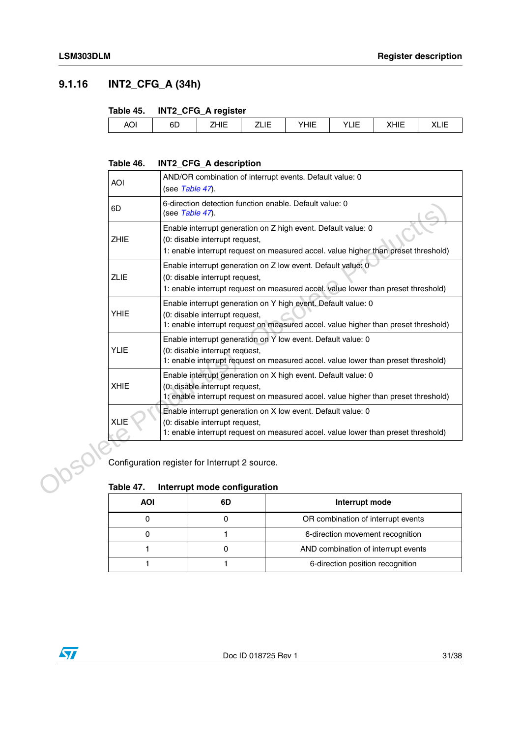# <span id="page-30-0"></span>**9.1.16 INT2\_CFG\_A (34h)**

#### <span id="page-30-1"></span>**Table 45. INT2\_CFG\_A register**

|            | ____     | ___<br>-             |             |     |                              |                                   |                 |
|------------|----------|----------------------|-------------|-----|------------------------------|-----------------------------------|-----------------|
| <b>AOI</b> | oπ<br>бL | $\cdots$<br><br>____ | ----<br>___ | --- | $\cdot$<br>. .<br><b>LIL</b> | $\sqrt{111}$<br>_<br>ᇻᆮ<br>$\sim$ | ◝◣▃▮▃<br>- ---- |
|            |          |                      |             |     |                              |                                   |                 |

### <span id="page-30-2"></span>**Table 46. INT2\_CFG\_A description**

|  | <b>AOI</b>                                                                                                                                                                          |                                                                                                                                                                                       | (see Table 47).                                | AND/OR combination of interrupt events. Default value: 0                                                                                            |  |  |
|--|-------------------------------------------------------------------------------------------------------------------------------------------------------------------------------------|---------------------------------------------------------------------------------------------------------------------------------------------------------------------------------------|------------------------------------------------|-----------------------------------------------------------------------------------------------------------------------------------------------------|--|--|
|  | 6D                                                                                                                                                                                  |                                                                                                                                                                                       | (see Table 47).                                | 6-direction detection function enable. Default value: 0                                                                                             |  |  |
|  | <b>ZHIE</b>                                                                                                                                                                         |                                                                                                                                                                                       | (0: disable interrupt request,                 | Enable interrupt generation on Z high event. Default value: 0<br>1: enable interrupt request on measured accel. value higher than preset threshold) |  |  |
|  | <b>ZLIE</b>                                                                                                                                                                         |                                                                                                                                                                                       | (0: disable interrupt request,                 | Enable interrupt generation on Z low event. Default value: 0<br>1: enable interrupt request on measured accel. value lower than preset threshold)   |  |  |
|  | <b>YHIE</b>                                                                                                                                                                         |                                                                                                                                                                                       | (0: disable interrupt request,                 | Enable interrupt generation on Y high event. Default value: 0<br>1: enable interrupt request on measured accel. value higher than preset threshold) |  |  |
|  | <b>YLIE</b>                                                                                                                                                                         |                                                                                                                                                                                       | (0: disable interrupt request,                 | Enable interrupt generation on Y low event. Default value: 0<br>1: enable interrupt request on measured accel. value lower than preset threshold)   |  |  |
|  | <b>XHIE</b>                                                                                                                                                                         | Enable interrupt generation on X high event. Default value: 0<br>(0: disable interrupt request,<br>1: enable interrupt request on measured accel. value higher than preset threshold) |                                                |                                                                                                                                                     |  |  |
|  | Enable interrupt generation on X low event. Default value: 0<br>(0: disable interrupt request,<br>1: enable interrupt request on measured accel. value lower than preset threshold) |                                                                                                                                                                                       |                                                |                                                                                                                                                     |  |  |
|  |                                                                                                                                                                                     |                                                                                                                                                                                       | Configuration register for Interrupt 2 source. |                                                                                                                                                     |  |  |
|  | Table 47.                                                                                                                                                                           |                                                                                                                                                                                       | Interrupt mode configuration                   |                                                                                                                                                     |  |  |
|  | <b>AOI</b>                                                                                                                                                                          |                                                                                                                                                                                       | 6D                                             | Interrupt mode                                                                                                                                      |  |  |
|  | 0                                                                                                                                                                                   |                                                                                                                                                                                       | 0                                              | OR combination of interrupt events                                                                                                                  |  |  |

### <span id="page-30-3"></span>**Table 47. Interrupt mode configuration**

| AOI | 6D | Interrupt mode                      |  |  |  |  |
|-----|----|-------------------------------------|--|--|--|--|
|     |    | OR combination of interrupt events  |  |  |  |  |
|     |    | 6-direction movement recognition    |  |  |  |  |
|     |    | AND combination of interrupt events |  |  |  |  |
|     |    | 6-direction position recognition    |  |  |  |  |

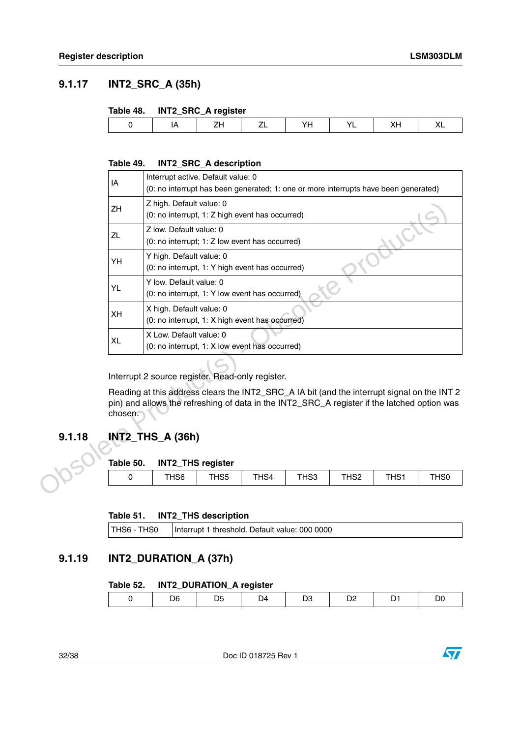# <span id="page-31-0"></span>**9.1.17 INT2\_SRC\_A (35h)**

#### <span id="page-31-3"></span>**Table 48. INT2\_SRC\_A register**

| <br>. . |  |  |  |  |
|---------|--|--|--|--|

#### <span id="page-31-4"></span>**Table 49. INT2\_SRC\_A description**

|        | IA        | Interrupt active. Default value: 0<br>(0: no interrupt has been generated; 1: one or more interrupts have been generated)                                                                  |                             |      |      |                  |      |                  |
|--------|-----------|--------------------------------------------------------------------------------------------------------------------------------------------------------------------------------------------|-----------------------------|------|------|------------------|------|------------------|
|        | ZH        | Z high. Default value: 0<br>(0: no interrupt, 1: Z high event has occurred)                                                                                                                |                             |      |      |                  |      |                  |
|        | ZL        | Z low. Default value: 0<br>(0: no interrupt; 1: Z low event has occurred)                                                                                                                  |                             |      |      |                  |      |                  |
|        | YH        | Y high. Default value: 0<br>(0: no interrupt, 1: Y high event has occurred)                                                                                                                |                             |      |      |                  |      |                  |
|        | YL        | Y low. Default value: 0<br>(0: no interrupt, 1: Y low event has occurred)                                                                                                                  |                             |      |      |                  |      |                  |
|        | XH        | X high. Default value: 0<br>(0: no interrupt, 1: X high event has occurred)                                                                                                                |                             |      |      |                  |      |                  |
|        | <b>XL</b> | X Low. Default value: 0<br>(0: no interrupt, 1: X low event has occurred)                                                                                                                  |                             |      |      |                  |      |                  |
|        |           | Interrupt 2 source register. Read-only register.                                                                                                                                           |                             |      |      |                  |      |                  |
|        | chosen.   | Reading at this address clears the INT2_SRC_A IA bit (and the interrupt signal on the INT 2<br>pin) and allows the refreshing of data in the INT2_SRC_A register if the latched option was |                             |      |      |                  |      |                  |
| 9.1.18 |           | <b>INT2_THS_A (36h)</b>                                                                                                                                                                    |                             |      |      |                  |      |                  |
|        | Table 50. |                                                                                                                                                                                            | <b>INT2_THS register</b>    |      |      |                  |      |                  |
|        | 0         | THS <sub>6</sub>                                                                                                                                                                           | THS5                        | THS4 | THS3 | THS <sub>2</sub> | THS1 | TH <sub>S0</sub> |
|        | Table 51. |                                                                                                                                                                                            | <b>INT2 THS description</b> |      |      |                  |      |                  |

## <span id="page-31-1"></span>**9.1.18 INT2\_THS\_A (36h)**

#### <span id="page-31-5"></span>**Table 50. INT2\_THS register**

| THS5<br>THS <sub>6</sub><br>THS <sub>2</sub><br>THS4<br><b>TLIO4</b><br>TH <sub>S0</sub><br>THS3<br>ו החו |  |
|-----------------------------------------------------------------------------------------------------------|--|
|-----------------------------------------------------------------------------------------------------------|--|

#### <span id="page-31-6"></span>**Table 51. INT2\_THS description**

| THS6 - THS0 | Interrupt 1 threshold. Default value: 000 0000 |
|-------------|------------------------------------------------|
|-------------|------------------------------------------------|

### <span id="page-31-2"></span>**9.1.19 INT2\_DURATION\_A (37h)**

#### <span id="page-31-7"></span>**Table 52. INT2\_DURATION\_A register**

| <u>—</u><br>— <b>-</b><br>$\sim$ | D6. | D4 | ◡ |  | DC |
|----------------------------------|-----|----|---|--|----|
|                                  |     |    |   |  |    |

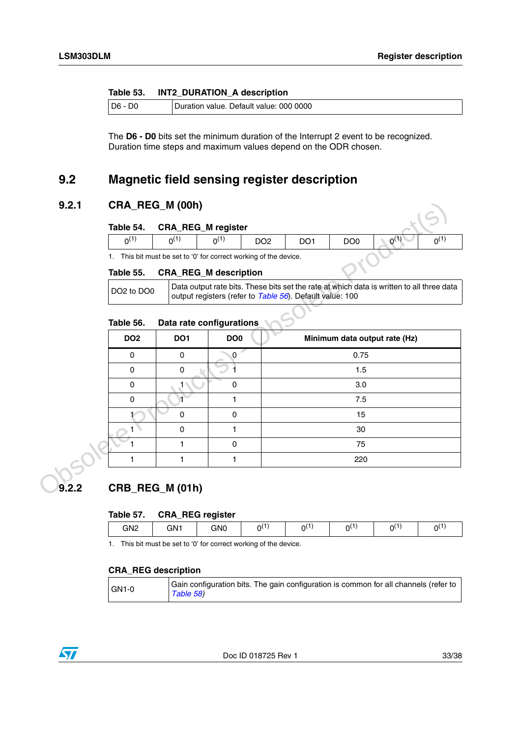#### <span id="page-32-3"></span>**Table 53. INT2\_DURATION\_A description**

| D6 | 0000<br>Default value: 000<br>I Duration value. |
|----|-------------------------------------------------|
|----|-------------------------------------------------|

The **D6 - D0** bits set the minimum duration of the Interrupt 2 event to be recognized. Duration time steps and maximum values depend on the ODR chosen.

# <span id="page-32-0"></span>**9.2 Magnetic field sensing register description**

### <span id="page-32-1"></span>**9.2.1 CRA\_REG\_M (00h)**

<span id="page-32-4"></span>

| $\Lambda$ <sup>(1)</sup><br>n(1)<br>DO <sub>0</sub><br>DO <sub>2</sub><br>DO <sub>1</sub><br>$\Omega$<br>∩⊖ | Table 54. | <b>CRA_REG_M register</b> |  |  |  |
|-------------------------------------------------------------------------------------------------------------|-----------|---------------------------|--|--|--|
|                                                                                                             |           |                           |  |  |  |

#### <span id="page-32-5"></span>**Table 55. CRA\_REG\_M description**

### <span id="page-32-6"></span>**Table 56. Data rate configurations**

| 9.2.1 |                                    | CRA_REG_M (00h)                                                   |                     |                 |                                                          |                 |                                                                                           |           |
|-------|------------------------------------|-------------------------------------------------------------------|---------------------|-----------------|----------------------------------------------------------|-----------------|-------------------------------------------------------------------------------------------|-----------|
|       | Table 54.                          | <b>CRA_REG_M</b> register                                         |                     |                 |                                                          |                 |                                                                                           |           |
|       | $0^{(1)}$                          | $0^{(1)}$                                                         | $0^{(1)}$           | DO <sub>2</sub> | DO <sub>1</sub>                                          | DO <sub>0</sub> | $0^{(1)}$                                                                                 | $0^{(1)}$ |
|       |                                    | 1. This bit must be set to '0' for correct working of the device. |                     |                 |                                                          |                 |                                                                                           |           |
|       | Table 55.                          | <b>CRA_REG_M</b> description                                      |                     |                 |                                                          |                 |                                                                                           |           |
|       | DO <sub>2</sub> to DO <sub>0</sub> |                                                                   |                     |                 | output registers (refer to Table 56). Default value: 100 |                 | Data output rate bits. These bits set the rate at which data is written to all three data |           |
|       | Table 56.                          | Data rate configurations                                          |                     |                 |                                                          |                 |                                                                                           |           |
|       | DO <sub>2</sub>                    | DO <sub>1</sub>                                                   | DO <sub>0</sub>     |                 |                                                          |                 | Minimum data output rate (Hz)                                                             |           |
|       | 0                                  | 0                                                                 | 0.75<br>$\mathbf 0$ |                 |                                                          |                 |                                                                                           |           |
|       | $\mathbf 0$                        | 0                                                                 | 1.5                 |                 |                                                          |                 |                                                                                           |           |
|       | 0                                  | 1                                                                 | $\mathbf 0$<br>3.0  |                 |                                                          |                 |                                                                                           |           |
|       | 0                                  | $\mathbf{1}$                                                      | 1<br>7.5            |                 |                                                          |                 |                                                                                           |           |
|       |                                    | $\pmb{0}$                                                         | $\pmb{0}$<br>15     |                 |                                                          |                 |                                                                                           |           |
|       |                                    | $\mathbf 0$                                                       | 1<br>30             |                 |                                                          |                 |                                                                                           |           |
|       |                                    | $\mathbf{1}$                                                      | $\mathbf 0$<br>75   |                 |                                                          |                 |                                                                                           |           |
|       | 1                                  | 1                                                                 | 1                   |                 |                                                          | 220             |                                                                                           |           |
| 9.2.2 |                                    | CRB_REG_M (01h)                                                   |                     |                 |                                                          |                 |                                                                                           |           |
|       | Table 57.                          | <b>CRA_REG</b> register                                           |                     |                 |                                                          |                 |                                                                                           |           |

# <span id="page-32-2"></span>**9.2.2 CRB\_REG\_M (01h)**

#### <span id="page-32-7"></span>**Table 57. CRA\_REG register**

|                 |     | --  |    |              |   |               |          |
|-----------------|-----|-----|----|--------------|---|---------------|----------|
| GN <sub>2</sub> | GN1 | GN0 | n١ | د هار<br>่าเ | ω | - 1<br>$\sim$ | $\Omega$ |
|                 |     |     |    |              |   |               |          |

1. This bit must be set to '0' for correct working of the device.

#### **CRA\_REG description**

| $GNI-0$ | Gain configuration bits. The gain configuration is common for all channels (refer to<br>Table 58) |
|---------|---------------------------------------------------------------------------------------------------|
|         |                                                                                                   |

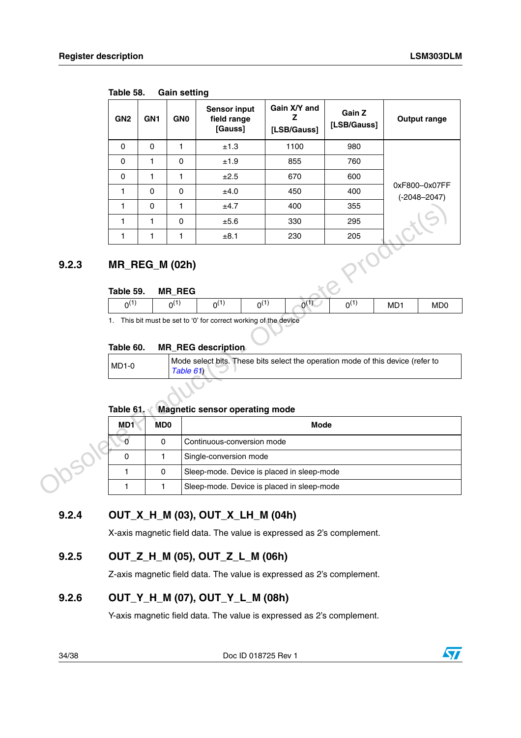| GN <sub>2</sub> | GN <sub>1</sub> | <b>GNO</b> | <b>Sensor input</b><br>field range<br>[Gauss] | Gain X/Y and<br>[LSB/Gauss] | Gain Z<br>[LSB/Gauss] | <b>Output range</b>               |
|-----------------|-----------------|------------|-----------------------------------------------|-----------------------------|-----------------------|-----------------------------------|
| 0               | $\Omega$        |            | ±1.3                                          | 1100                        | 980                   |                                   |
| $\Omega$        | 1               | $\Omega$   | ±1.9                                          | 855                         | 760                   |                                   |
| $\Omega$        | 1               |            | ±2.5                                          | 670                         | 600                   |                                   |
|                 | $\Omega$        | $\Omega$   | ±4.0                                          | 450                         | 400                   | 0xF800-0x07FF<br>$(-2048 - 2047)$ |
|                 | $\Omega$        |            | ±4.7                                          | 400                         | 355                   |                                   |
|                 | 1               | $\Omega$   | ±5.6                                          | 330                         | 295                   |                                   |
|                 | 1               |            | ±8.1                                          | 230                         | 205                   |                                   |
|                 |                 |            |                                               |                             |                       |                                   |

<span id="page-33-4"></span>**Table 58. Gain setting**

# <span id="page-33-0"></span>**9.2.3 MR\_REG\_M (02h)**

#### <span id="page-33-5"></span>**Table 59. MR\_REG**

| (4)<br>$\Omega(1)$      | __<br>(4)<br>∩(    | ำเ | $\overline{A}$<br>่าเ | (4)<br>่า | ⌒ | MD <sup>®</sup> | M <sub>D</sub> |
|-------------------------|--------------------|----|-----------------------|-----------|---|-----------------|----------------|
| ______<br>$\sim$ $\sim$ | .<br>$\sim$ $\sim$ |    | $\sim$ $\sim$<br>. .  |           |   |                 |                |

### <span id="page-33-6"></span>**Table 60. MR\_REG description**

| $MD1-0$ | Mode select bits. These bits select the operation mode of this device (refer to<br>Table 61 |  |
|---------|---------------------------------------------------------------------------------------------|--|
|---------|---------------------------------------------------------------------------------------------|--|

#### <span id="page-33-7"></span>**Table 61. Magnetic sensor operating mode**

|                                                                                                                                                        | 1                            | 0                           | 1                                      | ±4.7                                       | 400         | 355       |                 |                             |
|--------------------------------------------------------------------------------------------------------------------------------------------------------|------------------------------|-----------------------------|----------------------------------------|--------------------------------------------|-------------|-----------|-----------------|-----------------------------|
|                                                                                                                                                        | 1                            | 1                           | $\mathbf 0$                            | ±5.6                                       | 330         | 295       |                 |                             |
|                                                                                                                                                        | 1                            | 1                           | 1                                      | ±8.1                                       | 230         | 205       |                 |                             |
| 9.2.3                                                                                                                                                  | Table 59.                    |                             | <b>MR_REG_M (02h)</b><br><b>MR REG</b> |                                            |             |           |                 |                             |
|                                                                                                                                                        | $0^{(1)}$                    |                             | $0^{(1)}$                              | $0^{(1)}$<br>$0^{(1)}$                     | $0^{(1)}$   | $0^{(1)}$ | MD <sub>1</sub> | M <sub>D</sub> <sub>0</sub> |
| Table 60.<br><b>MR REG description</b><br>Mode select bits. These bits select the operation mode of this device (refer to<br><b>MD1-0</b><br>Table 61) |                              |                             |                                        |                                            |             |           |                 |                             |
|                                                                                                                                                        |                              |                             |                                        |                                            |             |           |                 |                             |
|                                                                                                                                                        | Table 61.<br>MD <sub>1</sub> | M <sub>D</sub> <sub>0</sub> |                                        | <b>Magnetic sensor operating mode</b>      | <b>Mode</b> |           |                 |                             |
|                                                                                                                                                        | $\bullet$                    | $\mathbf 0$                 |                                        | Continuous-conversion mode                 |             |           |                 |                             |
|                                                                                                                                                        | 0                            | 1                           |                                        | Single-conversion mode                     |             |           |                 |                             |
|                                                                                                                                                        | $\mathbf{1}$                 | $\mathbf 0$                 |                                        | Sleep-mode. Device is placed in sleep-mode |             |           |                 |                             |

## <span id="page-33-1"></span>**9.2.4 OUT\_X\_H\_M (03), OUT\_X\_LH\_M (04h)**

X-axis magnetic field data. The value is expressed as 2's complement.

## <span id="page-33-2"></span>**9.2.5 OUT\_Z\_H\_M (05), OUT\_Z\_L\_M (06h)**

Z-axis magnetic field data. The value is expressed as 2's complement.

## <span id="page-33-3"></span>**9.2.6 OUT\_Y\_H\_M (07), OUT\_Y\_L\_M (08h)**

Y-axis magnetic field data. The value is expressed as 2's complement.

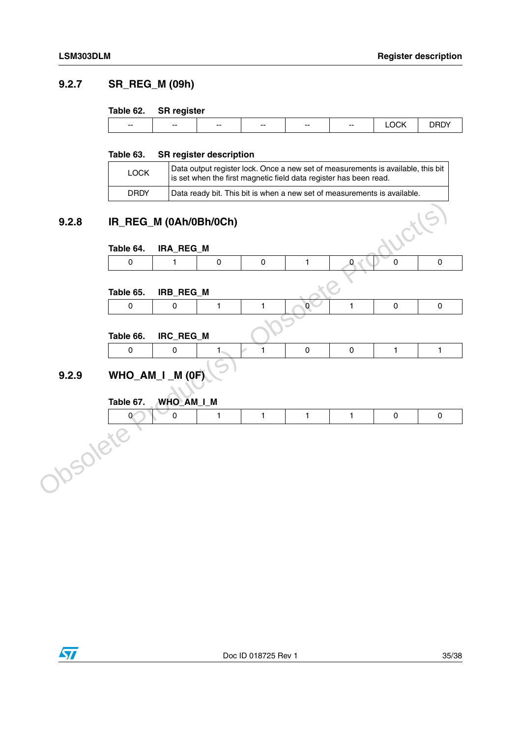## <span id="page-34-0"></span>**9.2.7 SR\_REG\_M (09h)**

#### <span id="page-34-3"></span>**Table 62. SR register**

| $- -$ | $- -$ | $\overline{\phantom{a}}$ | $\overline{\phantom{a}}$ | $- -$ | $- -$ | - - -<br>м |  |
|-------|-------|--------------------------|--------------------------|-------|-------|------------|--|
|       |       |                          |                          |       |       |            |  |

#### <span id="page-34-4"></span>**Table 63. SR register description**

| LOCK | Data output register lock. Once a new set of measurements is available, this bit<br>is set when the first magnetic field data register has been read. |
|------|-------------------------------------------------------------------------------------------------------------------------------------------------------|
| DRDY | Data ready bit. This bit is when a new set of measurements is available.                                                                              |

## <span id="page-34-1"></span>**9.2.8 IR\_REG\_M (0Ah/0Bh/0Ch)**

# <span id="page-34-5"></span>**Table 64. IRA\_REG\_M**

| R_REG_M (0Ah/0Bh/0Ch) |  |  |  |
|-----------------------|--|--|--|
| able 64. IRA_REG_M    |  |  |  |
|                       |  |  |  |
|                       |  |  |  |

#### <span id="page-34-6"></span>**Table 65. IRB\_REG\_M**

| ble 65. IRB_REG_M |  |  |  |
|-------------------|--|--|--|
|                   |  |  |  |
|                   |  |  |  |

#### <span id="page-34-7"></span>**Table 66. IRC\_REG\_M**

| 9.2.8    | IR_REG_M (0Ah/0Bh/0Ch) |            |                |              |                |                | ucils.       |                     |
|----------|------------------------|------------|----------------|--------------|----------------|----------------|--------------|---------------------|
|          |                        |            |                |              |                |                |              |                     |
|          | Table 64.              | IRA_REG_M  |                |              |                |                |              |                     |
|          | 0                      | 1          | $\pmb{0}$      | 0            | 1              | $\overline{0}$ | $\mathbf 0$  | $\pmb{0}$           |
|          |                        |            |                |              |                |                |              |                     |
|          | Table 65.              | IRB_REG_M  |                |              |                |                |              |                     |
|          | 0                      | 0          | 1              | $\mathbf{1}$ | $\overline{0}$ | 1              | $\pmb{0}$    | $\pmb{0}$           |
|          |                        |            |                |              |                |                |              |                     |
|          | Table 66.              | IRC_REG_M  |                |              |                |                |              |                     |
|          | $\pmb{0}$              | $\pmb{0}$  | 1 <sub>1</sub> | s)<br>1      | $\pmb{0}$      | $\mathbf 0$    | $\mathbf{1}$ | $\mathbf{1}$        |
|          |                        |            |                |              |                |                |              |                     |
| 9.2.9    | WHO_AM_I _M (0F)       |            |                |              |                |                |              |                     |
|          | Table 67.              | WHO_AM_I_M |                |              |                |                |              |                     |
|          | $\mathbf{0}$           | 0          | 1              | $\mathbf{1}$ | $\mathbf{1}$   | 1              | $\mathsf 0$  | $\mathsf{O}\xspace$ |
|          |                        |            |                |              |                |                |              |                     |
| Josolete |                        |            |                |              |                |                |              |                     |
|          |                        |            |                |              |                |                |              |                     |
|          |                        |            |                |              |                |                |              |                     |
|          |                        |            |                |              |                |                |              |                     |
|          |                        |            |                |              |                |                |              |                     |
|          |                        |            |                |              |                |                |              |                     |
|          |                        |            |                |              |                |                |              |                     |

# <span id="page-34-8"></span><span id="page-34-2"></span>**9.2.9 WHO\_AM\_I \_M (0F)**

| Table 67. | WHO_AM_I_M |  |  |  |
|-----------|------------|--|--|--|
|           |            |  |  |  |
|           |            |  |  |  |
|           |            |  |  |  |
|           |            |  |  |  |
|           |            |  |  |  |
|           |            |  |  |  |

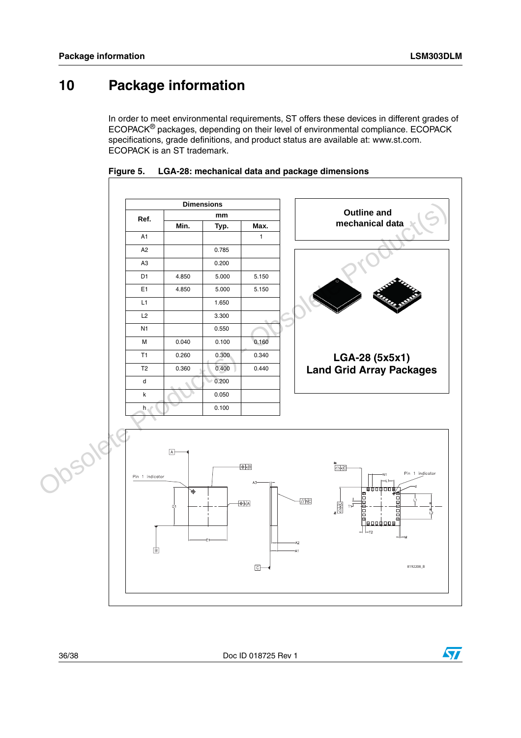# <span id="page-35-0"></span>**10 Package information**

In order to meet environmental requirements, ST offers these devices in different grades of ECOPACK® packages, depending on their level of environmental compliance. ECOPACK specifications, grade definitions, and product status are available at: www.st.com. ECOPACK is an ST trademark.



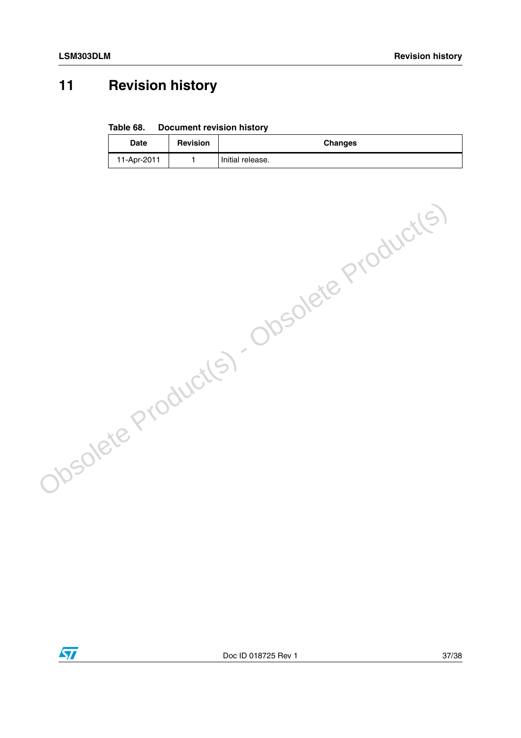# <span id="page-36-0"></span>**11 Revision history**

#### <span id="page-36-1"></span>**Table 68. Document revision history**

| Date        | <b>Revision</b> | <b>Changes</b>   |
|-------------|-----------------|------------------|
| 11-Apr-2011 |                 | Initial release. |



Obsolete Product(s) - Obsolete Product(s)